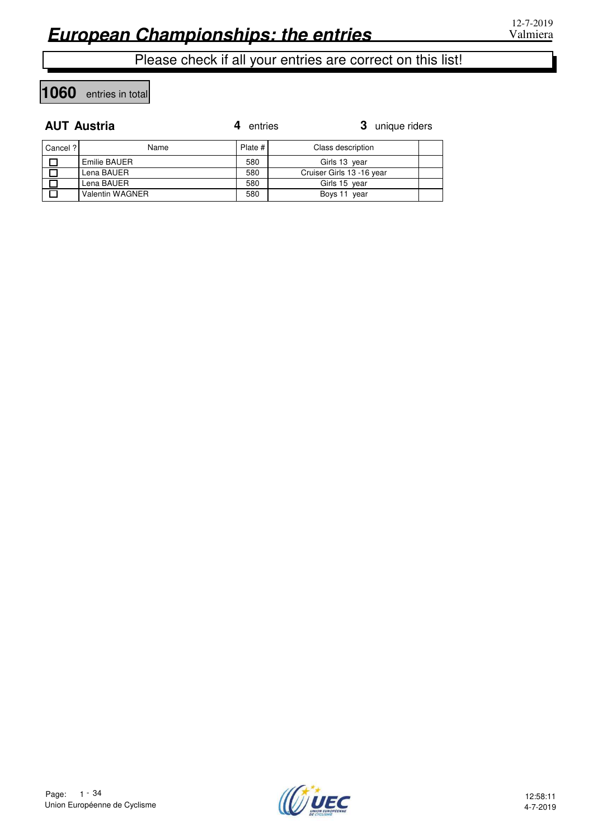**1060** entries in total

#### **AUT Austria**

| <b>AUT Austria</b> |                        | entries | 3 unique riders           |  |
|--------------------|------------------------|---------|---------------------------|--|
| Cancel ?           | Name                   | Plate # | Class description         |  |
|                    | Emilie BAUER           | 580     | Girls 13 year             |  |
|                    | Lena BAUER             | 580     | Cruiser Girls 13 -16 year |  |
|                    | Lena BAUER             | 580     | Girls 15 year             |  |
|                    | <b>Valentin WAGNER</b> | 580     | Boys 11 year              |  |

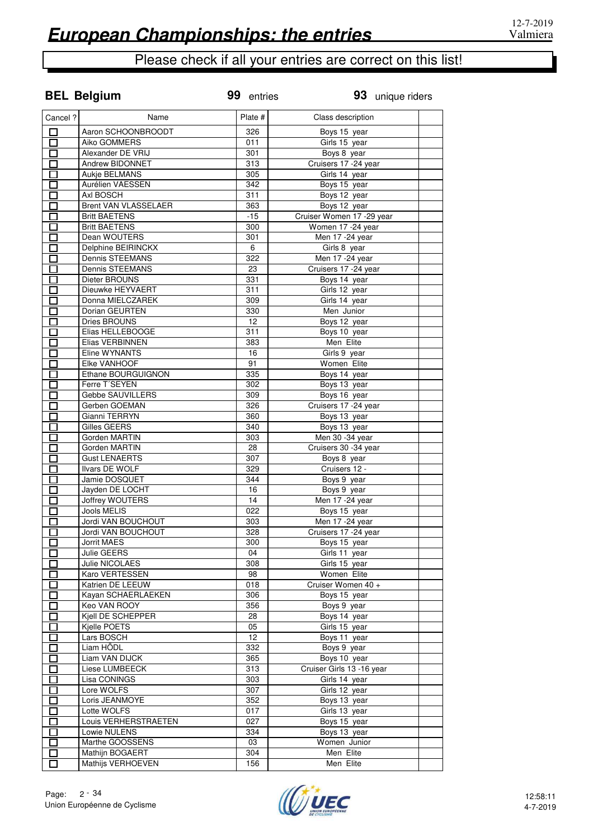**BEL Belgium**

# Please check if all your entries are correct on this list!

| Cancel ?                 | Name                   | Plate # | Class description          |  |
|--------------------------|------------------------|---------|----------------------------|--|
| □                        | Aaron SCHOONBROODT     | 326     | Boys 15 year               |  |
| ロ                        | Aiko GOMMERS           | 011     | Girls 15 year              |  |
| $\Box$                   | Alexander DE VRIJ      | 301     | Boys 8 year                |  |
| $\Box$                   | Andrew BIDONNET        | 313     | Cruisers 17 - 24 year      |  |
| $\Box$                   | Aukje BELMANS          | 305     | Girls 14 year              |  |
| 囗                        | Aurélien VAESSEN       | 342     | Boys 15 year               |  |
| 口                        | Axl BOSCH              | 311     | Boys 12 year               |  |
| $\Box$                   | Brent VAN VLASSELAER   | 363     | Boys 12 year               |  |
| 口                        | <b>Britt BAETENS</b>   | $-15$   | Cruiser Women 17 - 29 year |  |
| П                        | <b>Britt BAETENS</b>   | 300     | Women 17 -24 year          |  |
| $\Box$                   | Dean WOUTERS           | 301     | Men 17 - 24 year           |  |
| $\Box$                   | Delphine BEIRINCKX     | 6       | Girls 8 year               |  |
| $\Box$                   | Dennis STEEMANS        | 322     | Men 17 - 24 year           |  |
| 囗                        | Dennis STEEMANS        | 23      | Cruisers 17 -24 year       |  |
| $\Box$                   | Dieter BROUNS          | 331     | Boys 14 year               |  |
| $\Box$                   | Dieuwke HEYVAERT       | 311     | Girls 12 year              |  |
| $\Box$                   | Donna MIELCZAREK       | 309     | Girls 14 year              |  |
| $\Box$                   | Dorian GEURTEN         | 330     | Men Junior                 |  |
| П                        | <b>Dries BROUNS</b>    | 12      | Boys 12 year               |  |
| $\Box$                   | Elias HELLEBOOGE       | 311     | Boys 10 year               |  |
| $\Box$                   | Elias VERBINNEN        | 383     | Men Elite                  |  |
| $\Box$                   | Eline WYNANTS          | 16      | Girls 9 year               |  |
| $\Box$                   | Elke VANHOOF           | 91      | <b>Women Elite</b>         |  |
| $\Box$                   | Ethane BOURGUIGNON     | 335     | Boys 14 year               |  |
| П                        | Ferre T'SEYEN          | 302     | Boys 13 year               |  |
| П                        | Gebbe SAUVILLERS       | 309     | Boys 16 year               |  |
| П                        | Gerben GOEMAN          | 326     | Cruisers 17 -24 year       |  |
| П                        | Gianni TERRYN          | 360     | Boys 13 year               |  |
| $\Box$                   | Gilles GEERS           | 340     | Boys 13 year               |  |
| $\Box$                   | Gorden MARTIN          | 303     | Men 30 -34 year            |  |
| $\Box$                   | Gorden MARTIN          | 28      | Cruisers 30 -34 year       |  |
| $\Box$                   | <b>Gust LENAERTS</b>   | 307     | Boys 8 year                |  |
| $\Box$                   | Ilvars DE WOLF         | 329     | Cruisers 12 -              |  |
| 囗                        | Jamie DOSQUET          | 344     | Boys 9 year                |  |
| $\Box$                   | Jayden DE LOCHT        | 16      | Boys 9 year                |  |
| $\Box$                   | <b>Joffrey WOUTERS</b> | 14      | Men 17 - 24 year           |  |
| $\Box$                   | Jools MELIS            | 022     | Boys 15 year               |  |
| $\Box$                   | Jordi VAN BOUCHOUT     | 303     | Men 17 -24 year            |  |
| П                        | Jordi VAN BOUCHOUT     | 328     | Cruisers 17 -24 year       |  |
| l.                       | <b>Jorrit MAES</b>     | 300     | Boys 15 year               |  |
| П                        | Julie GEERS            | 04      | Girls 11 year              |  |
|                          | Julie NICOLAES         | 308     | Girls 15 year              |  |
|                          | Karo VERTESSEN         | 98      | Women Elite                |  |
| П                        | Katrien DE LEEUW       | 018     | Cruiser Women 40 +         |  |
| П                        | Kayan SCHAERLAEKEN     | 306     | Boys 15 year               |  |
| П                        | Keo VAN ROOY           | 356     | Boys 9 year                |  |
| П                        | Kjell DE SCHEPPER      | 28      | Boys 14 year               |  |
| П                        | Kjelle POETS           | 05      | Girls 15 year              |  |
| $\Box$                   | Lars BOSCH             | 12      | Boys 11 year               |  |
| $\Box$                   | Liam HÖDL              | 332     | Boys 9 year                |  |
| $\Box$                   | Liam VAN DIJCK         | 365     | Boys 10 year               |  |
|                          | Liese LUMBEECK         |         |                            |  |
| $\Box$                   |                        | 313     | Cruiser Girls 13 -16 year  |  |
| П                        | Lisa CONINGS           | 303     | Girls 14 year              |  |
| $\mathbf{r}$             | Lore WOLFS             | 307     | Girls 12 year              |  |
| П                        | Loris JEANMOYE         | 352     | Boys 13 year               |  |
| П                        | Lotte WOLFS            | 017     | Girls 13 year              |  |
| П                        | Louis VERHERSTRAETEN   | 027     | Boys 15 year               |  |
| $\overline{\phantom{a}}$ | Lowie NULENS           | 334     | Boys 13 year               |  |
| П                        | Marthe GOOSSENS        | 03      | Women Junior               |  |
| $\Box$                   | Mathijn BOGAERT        | 304     | Men Elite                  |  |
| Ò                        | Mathijs VERHOEVEN      | 156     | Men Elite                  |  |

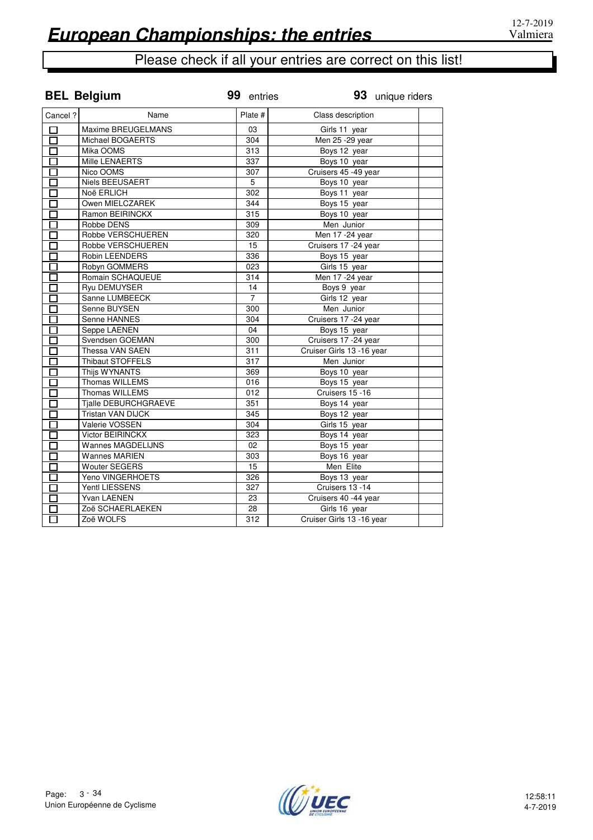|                         | <b>BEL Belgium</b>          | 99 entries      | 93 unique riders          |
|-------------------------|-----------------------------|-----------------|---------------------------|
| Cancel ?                | Name                        | Plate #         | Class description         |
| П                       | Maxime BREUGELMANS          | 03              | Girls 11 year             |
| $\overline{\Box}$       | Michael BOGAERTS            | 304             | Men 25 - 29 year          |
| П                       | Mika OOMS                   | 313             | Boys 12 year              |
| П                       | Mille LENAERTS              | 337             | Boys 10 year              |
| П                       | Nico OOMS                   | 307             | Cruisers 45 -49 year      |
|                         | <b>Niels BEEUSAERT</b>      | 5               | Boys 10 year              |
| П                       | Noë ERLICH                  | 302             | Boys 11 year              |
| П                       | Owen MIELCZAREK             | 344             | Boys 15 year              |
| $\overline{\Box}$       | Ramon BEIRINCKX             | 315             | Boys 10 year              |
| П                       | Robbe DENS                  | 309             | Men Junior                |
| $\Box$                  | Robbe VERSCHUEREN           | 320             | Men 17 -24 year           |
| П                       | Robbe VERSCHUEREN           | 15              | Cruisers 17 - 24 year     |
| П                       | Robin LEENDERS              | 336             | Boys 15 year              |
| П                       | Robyn GOMMERS               | 023             | Girls 15 year             |
| П                       | Romain SCHAQUEUE            | 314             | Men 17 - 24 year          |
| П                       | <b>Ryu DEMUYSER</b>         | $\overline{14}$ | Boys 9 year               |
| $\overline{\mathsf{L}}$ | Sanne LUMBEECK              | $\overline{7}$  | Girls 12 year             |
| П                       | Senne BUYSEN                | 300             | Men Junior                |
| П                       | Senne HANNES                | 304             | Cruisers 17 -24 year      |
| $\Box$                  | Seppe LAENEN                | 04              | Boys 15 year              |
| П                       | Svendsen GOEMAN             | 300             | Cruisers 17 -24 year      |
| П                       | Thessa VAN SAEN             | 311             | Cruiser Girls 13 -16 year |
| П                       | Thibaut STOFFELS            | 317             | Men Junior                |
| П                       | Thijs WYNANTS               | 369             | Boys 10 year              |
| $\Box$                  | Thomas WILLEMS              | 016             | Boys 15 year              |
| П                       | <b>Thomas WILLEMS</b>       | 012             | Cruisers 15 -16           |
| $\Box$                  | <b>Tjalle DEBURCHGRAEVE</b> | 351             | Boys 14 year              |
| П                       | <b>Tristan VAN DIJCK</b>    | 345             | Boys 12 year              |
| 口                       | Valerie VOSSEN              | 304             | Girls 15 year             |
| П                       | <b>Victor BEIRINCKX</b>     | 323             | Boys 14 year              |
| П                       | <b>Wannes MAGDELIJNS</b>    | 02              | Boys 15 year              |
| П                       | <b>Wannes MARIEN</b>        | 303             | Boys 16 year              |
| П                       | <b>Wouter SEGERS</b>        | 15              | Men Elite                 |
| П                       | Yeno VINGERHOETS            | 326             | Boys 13 year              |
|                         | <b>Yentl LIESSENS</b>       | 327             | Cruisers 13 -14           |
| П                       | Yvan LAENEN                 | 23              | Cruisers 40 -44 year      |
|                         | Zoë SCHAERLAEKEN            | 28              | Girls 16 year             |
| ⊓                       | Zoë WOLFS                   | 312             | Cruiser Girls 13 -16 year |

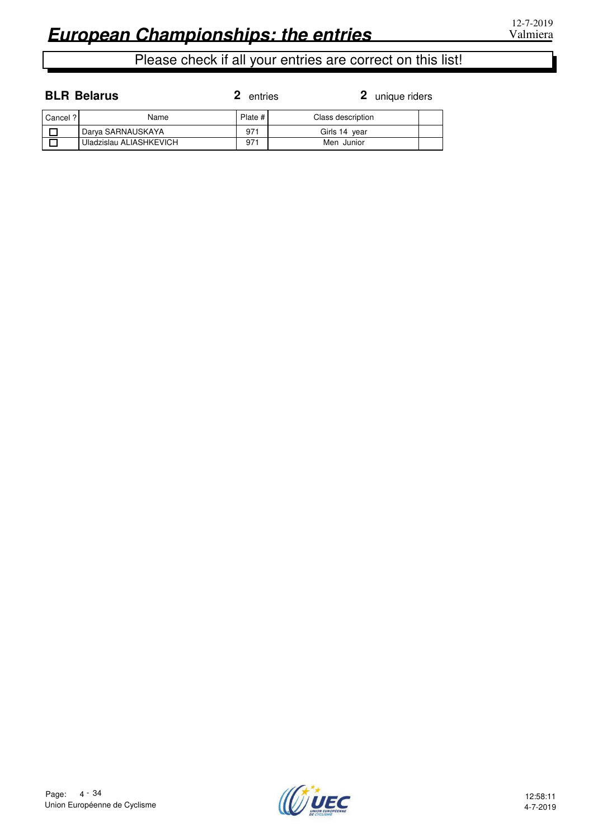#### **BLR Belarus**

| Cancel ? | Name                    | Plate # | Class description |  |
|----------|-------------------------|---------|-------------------|--|
|          | Darya SARNAUSKAYA       | 971     | Girls 14 year     |  |
|          | Uladzislau ALIASHKEVICH | 971     | Men Junior        |  |

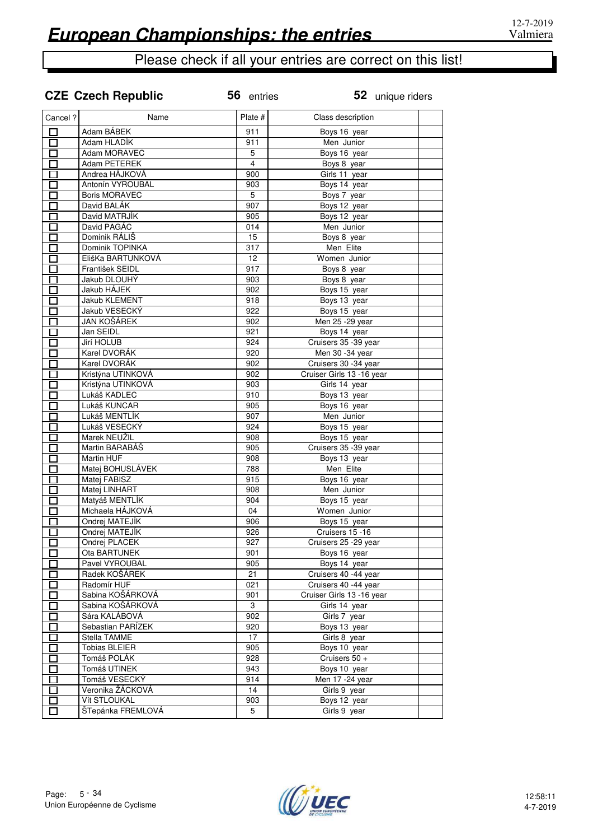|  |  | <b>CZE Czech Republic</b> |
|--|--|---------------------------|
|--|--|---------------------------|

**Public** 56 entries

| Cancel ?     | Name                 | Plate #        | Class description         |  |
|--------------|----------------------|----------------|---------------------------|--|
| 口            | Adam BÁBEK           | 911            | Boys 16 year              |  |
| $\Box$       | Adam HLADÍK          | 911            | Men Junior                |  |
| $\Box$       | Adam MORAVEC         | 5              | Boys 16 year              |  |
|              | Adam PETEREK         | $\overline{4}$ | Boys 8 year               |  |
| $\Box$       | Andrea HÁJKOVÁ       | 900            | Girls 11 year             |  |
| $\Box$       | Antonín VYROUBAL     | 903            | Boys 14 year              |  |
| 匸            | <b>Boris MORAVEC</b> | 5              | Boys 7 year               |  |
|              | David BALÁK          | 907            | Boys 12 year              |  |
| □            | David MATRJÍK        | 905            | Boys 12 year              |  |
| $\Box$       | David PAGÁC          | 014            | Men Junior                |  |
|              | Dominik RÁLIŠ        | 15             | Boys 8 year               |  |
| П            | Dominik TOPINKA      | 317            | Men Elite                 |  |
| П            | ElišKa BARTUNKOVÁ    | 12             | Women Junior              |  |
| П            | František SEIDL      | 917            | Boys 8 year               |  |
| П            | Jakub DLOUHÝ         | 903            | Boys 8 year               |  |
| П            | Jakub HÁJEK          | 902            | Boys 15 year              |  |
| П            | Jakub KLEMENT        | 918            | Boys 13 year              |  |
|              | Jakub VESECKY        | 922            | Boys 15 year              |  |
| П<br>П       | <b>JAN KOŠÁREK</b>   | 902            | Men 25 - 29 year          |  |
| П            | Jan SEIDL            | 921            | Boys 14 year              |  |
| П            | Jirí HOLUB           | 924            | Cruisers 35 -39 year      |  |
| П            | Karel DVORÁK         | 920            | Men 30 -34 year           |  |
|              | Karel DVORÁK         | 902            | Cruisers 30 -34 year      |  |
| $\Box$<br>П  | Kristýna UTINKOVÁ    | 902            | Cruiser Girls 13 -16 year |  |
|              | Kristýna UTINKOVÁ    | 903            | Girls 14 year             |  |
| П            | Lukáš KADLEC         | 910            | Boys 13 year              |  |
| $\Box$       | Lukáš KUNCAR         | 905            | Boys 16 year              |  |
| Г            | Lukáš MENTLÍK        | 907            | Men Junior                |  |
| П            | Lukáš VESECKÝ        | 924            | Boys 15 year              |  |
| П            | Marek NEUŽIL         | 908            | Boys 15 year              |  |
| $\Box$       | Martin BARABÁŠ       | 905            | Cruisers 35 -39 year      |  |
| 口            | Martin HUF           | 908            | Boys 13 year              |  |
|              | Matej BOHUSLÁVEK     | 788            | Men Elite                 |  |
| 口            | Matej FABISZ         | 915            | Boys 16 year              |  |
| $\Box$       | Matej LINHART        | 908            | Men Junior                |  |
|              | Matyáš MENTLÍK       | 904            | Boys 15 year              |  |
|              | Michaela HÁJKOVÁ     | 04             | Women Junior              |  |
| П            | Ondrej MATEJÍK       | 906            | Boys 15 year              |  |
|              | Ondrej MATEJÍK       | 926            | Cruisers 15 -16           |  |
| П            | Ondrej PLACEK        | 927            | Cruisers 25 - 29 year     |  |
| П            | Ota BARTUNEK         | 901            | Boys 16 year              |  |
| $\mathbf{I}$ | Pavel VYROUBAL       | 905            | Boys 14 year              |  |
|              | Radek KOŠÁREK        | 21             | Cruisers 40 -44 year      |  |
|              | Radomír HUF          | 021            | Cruisers 40 -44 year      |  |
|              | Sabina KOŠÁRKOVÁ     | 901            | Cruiser Girls 13 -16 year |  |
| П            | Sabina KOŠÁRKOVÁ     | 3              | Girls 14 year             |  |
| П            | Sára KALÁBOVÁ        | 902            | Girls 7 year              |  |
|              | Sebastian PARÍZEK    | 920            | Boys 13 year              |  |
| Г            | Stella TAMME         | 17             | Girls 8 year              |  |
| $\Box$       | <b>Tobias BLEIER</b> | 905            | Boys 10 year              |  |
| П            | Tomáš POLÁK          | 928            | Cruisers 50 +             |  |
|              | Tomáš UTINEK         | 943            | Boys 10 year              |  |
|              | Tomáš VESECKÝ        | 914            | Men 17 - 24 year          |  |
|              | Veronika ŽÁCKOVÁ     | 14             | Girls 9 year              |  |
|              | Vít STLOUKAL         | 903            | Boys 12 year              |  |
|              | ŠTepánka FREMLOVÁ    | 5              | Girls 9 year              |  |
|              |                      |                |                           |  |

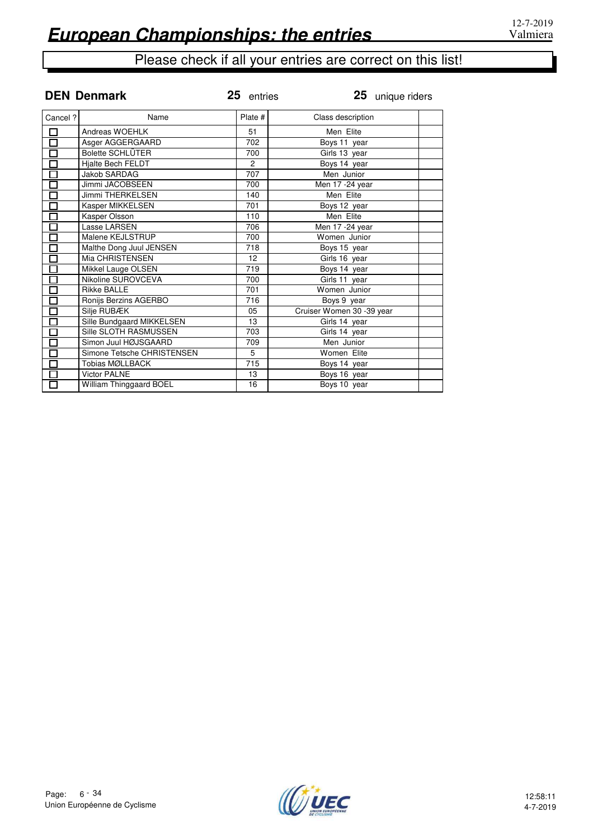|                              | <b>DEN Denmark</b>         | 25 entries      | 25 unique riders          |
|------------------------------|----------------------------|-----------------|---------------------------|
| Cancel ?                     | Name                       | Plate #         | Class description         |
| $\overline{\Box}$            | Andreas WOEHLK             | 51              | Men Elite                 |
|                              | Asger AGGERGAARD           | 702             | Boys 11 year              |
|                              | Bolette SCHLÜTER           | 700             | Girls 13 year             |
| 80000                        | Hjalte Bech FELDT          | $\overline{c}$  | Boys 14 year              |
|                              | Jakob SARDAG               | 707             | Men Junior                |
|                              | Jimmi JACOBSEEN            | 700             | Men 17 - 24 year          |
|                              | <b>Jimmi THERKELSEN</b>    | 140             | Men Elite                 |
| 0000                         | Kasper MIKKELSEN           | 701             | Boys 12 year              |
|                              | Kasper Olsson              | 110             | Men Elite                 |
|                              | Lasse LARSEN               | 706             | Men 17 - 24 year          |
|                              | Malene KEJLSTRUP           | 700             | Women Junior              |
| $\overline{\overline{\Box}}$ | Malthe Dong Juul JENSEN    | 718             | Boys 15 year              |
| $\overline{\Box}$            | Mia CHRISTENSEN            | 12 <sup>2</sup> | Girls 16 year             |
| $\overline{\Box}$            | Mikkel Lauge OLSEN         | 719             | Boys 14 year              |
| $\overline{\mathbf{B}}$      | Nikoline SUROVCEVA         | 700             | Girls 11 year             |
|                              | <b>Rikke BALLE</b>         | 701             | Women Junior              |
| $\overline{\Box}$            | Ronijs Berzins AGERBO      | 716             | Boys 9 year               |
| $\Box$                       | Silje RUBÆK                | 05              | Cruiser Women 30 -39 year |
|                              | Sille Bundgaard MIKKELSEN  | 13              | Girls 14 year             |
|                              | Sille SLOTH RASMUSSEN      | 703             | Girls 14 year             |
|                              | Simon Juul HØJSGAARD       | 709             | Men Junior                |
| 000000                       | Simone Tetsche CHRISTENSEN | 5               | Women Elite               |
|                              | Tobias MØLLBACK            | 715             | Boys 14 year              |
| $\overline{\Box}$            | <b>Victor PALNE</b>        | 13              | Boys 16 year              |
| $\overline{\Box}$            | William Thinggaard BOEL    | 16              | Boys 10 year              |

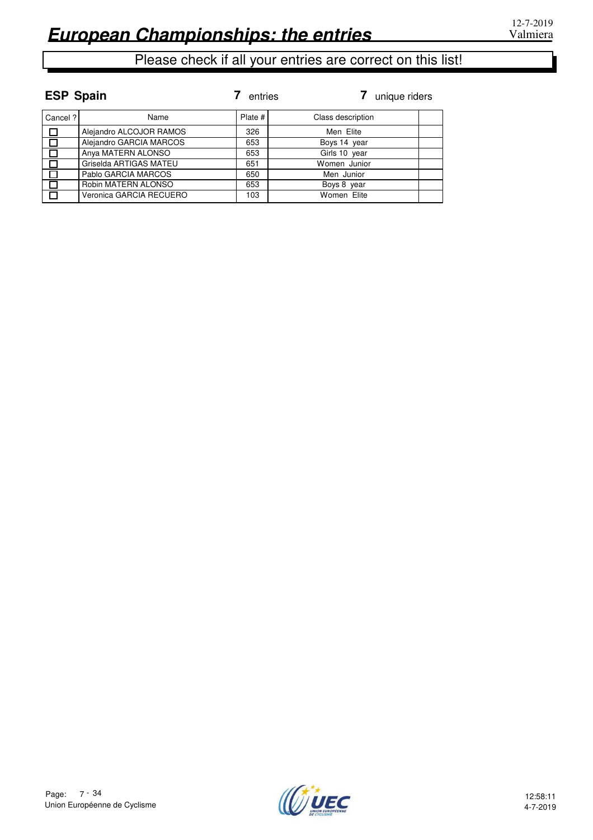| <b>ESP Spain</b> |                         | entries | unique riders     |
|------------------|-------------------------|---------|-------------------|
| Cancel ?         | Name                    | Plate # | Class description |
| $\Box$           | Alejandro ALCOJOR RAMOS | 326     | Men Elite         |
| $\Box$           | Alejandro GARCIA MARCOS | 653     | Boys 14 year      |
| $\Box$           | Anya MATERN ALONSO      | 653     | Girls 10 year     |
| $\Box$           | Griselda ARTIGAS MATEU  | 651     | Women Junior      |
| $\Box$           | Pablo GARCIA MARCOS     | 650     | Men Junior        |
| $\Box$           | Robin MATERN ALONSO     | 653     | Boys 8 year       |
| I T              | Veronica GARCIA RECUERO | 103     | Women Elite       |

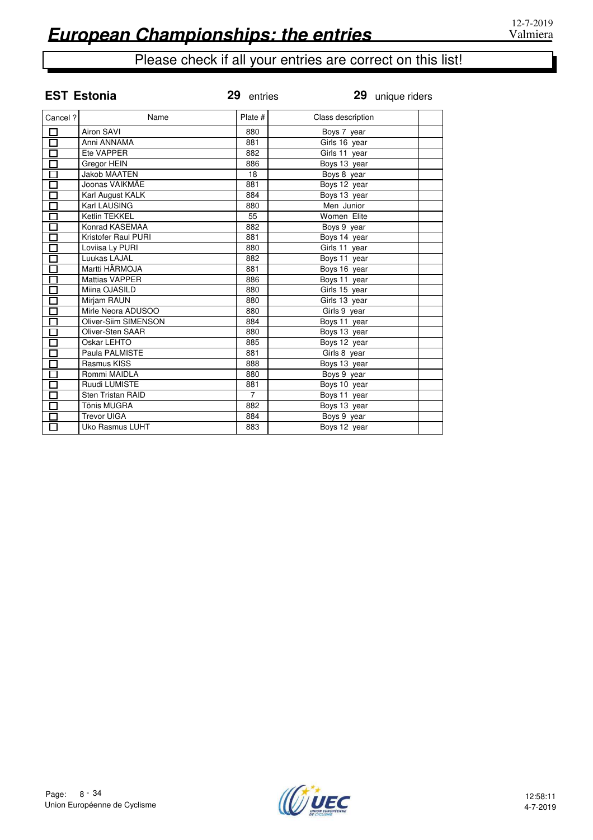|                   | <b>EST Estonia</b>    | 29 entries     |                   | 29 unique riders |
|-------------------|-----------------------|----------------|-------------------|------------------|
| Cancel?           | Name                  | Plate #        | Class description |                  |
| П                 | <b>Airon SAVI</b>     | 880            | Boys 7 year       |                  |
| $\Box$            | Anni ANNAMA           | 881            | Girls 16 year     |                  |
| Г                 | Ete VAPPER            | 882            | Girls 11 year     |                  |
| $\Box$            | Gregor HEIN           | 886            | Boys 13 year      |                  |
| $\overline{\Box}$ | <b>Jakob MAATEN</b>   | 18             | Boys 8 year       |                  |
| $\Box$            | Joonas VAIKMÄE        | 881            | Boys 12 year      |                  |
| Г                 | Karl August KALK      | 884            | Boys 13 year      |                  |
| П                 | Karl LAUSING          | 880            | Men Junior        |                  |
| $\overline{\Box}$ | Ketlin TEKKEL         | 55             | Women Elite       |                  |
| Г                 | Konrad KASEMAA        | 882            | Boys 9 year       |                  |
| $\overline{\Box}$ | Kristofer Raul PURI   | 881            | Boys 14 year      |                  |
| Ō                 | Loviisa Ly PURI       | 880            | Girls 11 year     |                  |
| $\overline{\Box}$ | Luukas LAJAL          | 882            | Boys 11 year      |                  |
|                   | Martti HÄRMOJA        | 881            | Boys 16 year      |                  |
| П                 | <b>Mattias VAPPER</b> | 886            | Boys 11 year      |                  |
|                   | Miina OJASILD         | 880            | Girls 15 year     |                  |
| П                 | Mirjam RAUN           | 880            | Girls 13 year     |                  |
| $\Box$            | Mirle Neora ADUSOO    | 880            | Girls 9 year      |                  |
| Г                 | Oliver-Siim SIMENSON  | 884            | Boys 11 year      |                  |
| $\Box$            | Oliver-Sten SAAR      | 880            | Boys 13 year      |                  |
|                   | Oskar LEHTO           | 885            | Boys 12 year      |                  |
| П                 | Paula PALMISTE        | 881            | Girls 8 year      |                  |
|                   | Rasmus KISS           | 888            | Boys 13 year      |                  |
| П                 | Rommi MAIDLA          | 880            | Boys 9 year       |                  |
| П                 | Ruudi LUMISTE         | 881            | Boys 10 year      |                  |
| Г                 | Sten Tristan RAID     | $\overline{7}$ | Boys 11 year      |                  |
|                   | Tõnis MUGRA           | 882            | Boys 13 year      |                  |
|                   | <b>Trevor UIGA</b>    | 884            | Boys 9 year       |                  |
| П                 | Uko Rasmus LUHT       | 883            | Boys 12 year      |                  |

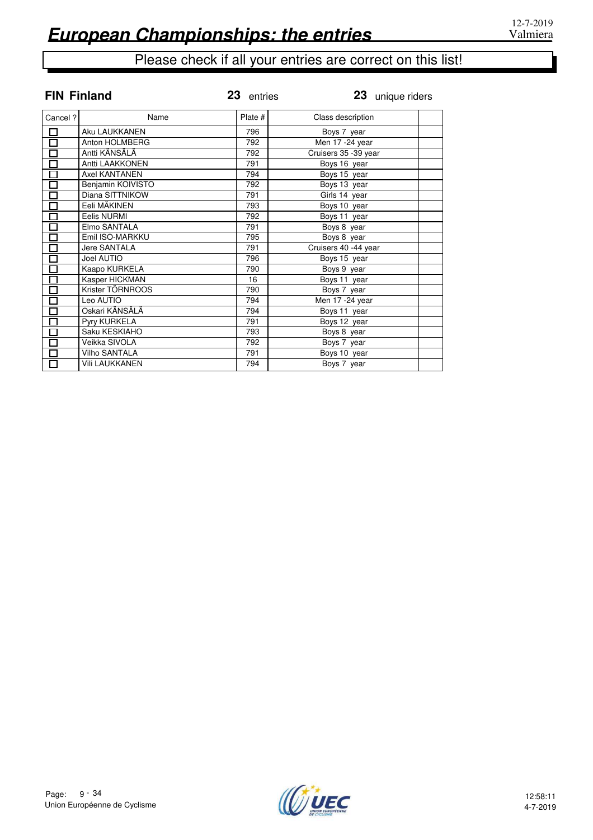| <b>FIN Finland</b>   |                      | 23 entries | 23 unique riders     |  |
|----------------------|----------------------|------------|----------------------|--|
| Cancel?              | Name                 | Plate #    | Class description    |  |
| $\square$            | Aku LAUKKANEN        | 796        | Boys 7 year          |  |
| $\overline{\Box}$    | Anton HOLMBERG       | 792        | Men 17 -24 year      |  |
| $\overline{\Xi}$     | Antti KÄNSÄLÄ        | 792        | Cruisers 35 -39 year |  |
|                      | Antti LAAKKONEN      | 791        | Boys 16 year         |  |
|                      | <b>Axel KANTANEN</b> | 794        | Boys 15 year         |  |
| <br> <br>            | Benjamin KOIVISTO    | 792        | Boys 13 year         |  |
|                      | Diana SITTNIKOW      | 791        | Girls 14 year        |  |
| $\overline{\square}$ | Eeli MÄKINEN         | 793        | Boys 10 year         |  |
| $\overline{\Box}$    | Eelis NURMI          | 792        | Boys 11 year         |  |
|                      | Elmo SANTALA         | 791        | Boys 8 year          |  |
| —<br>-<br>D          | Emil ISO-MARKKU      | 795        | Boys 8 year          |  |
|                      | Jere SANTALA         | 791        | Cruisers 40 -44 year |  |
| $\overline{\Box}$    | Joel AUTIO           | 796        | Boys 15 year         |  |
| $\overline{\Box}$    | Kaapo KURKELA        | 790        | Boys 9 year          |  |
| $\overline{\Xi}$     | Kasper HICKMAN       | 16         | Boys 11 year         |  |
|                      | Krister TÖRNROOS     | 790        | Boys 7 year          |  |
| $\overline{\Xi}$     | Leo AUTIO            | 794        | Men 17 - 24 year     |  |
|                      | Oskari KÄNSÄLÄ       | 794        | Boys 11 year         |  |
| $\overline{\Box}$    | Pyry KURKELA         | 791        | Boys 12 year         |  |
|                      | Saku KESKIAHO        | 793        | Boys 8 year          |  |
| 00<br>10             | Veikka SIVOLA        | 792        | Boys 7 year          |  |
|                      | Vilho SANTALA        | 791        | Boys 10 year         |  |
| ក៑                   | Vili LAUKKANEN       | 794        | Boys 7 year          |  |

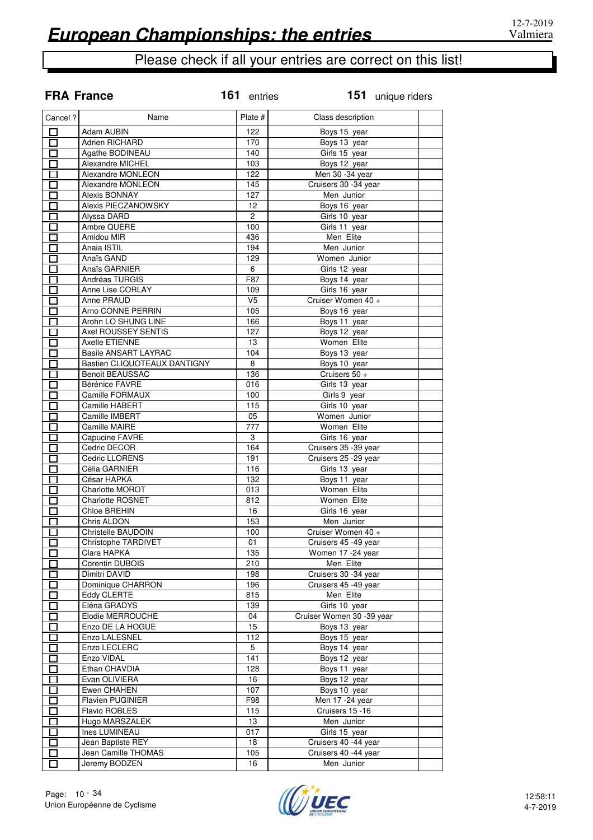**FRA France**

# Please check if all your entries are correct on this list!

| Cancel ?                 | Name                         | Plate #        | Class description         |  |
|--------------------------|------------------------------|----------------|---------------------------|--|
| П                        | Adam AUBIN                   | 122            | Boys 15 year              |  |
| □                        | Adrien RICHARD               | 170            | Boys 13 year              |  |
| П                        | Agathe BODINEAU              | 140            | Girls 15 year             |  |
| $\Box$                   | Alexandre MICHEL             | 103            | Boys 12 year              |  |
| $\Box$                   | Alexandre MONLEON            | 122            | Men 30 -34 year           |  |
| П                        | Alexandre MONLEON            | 145            | Cruisers 30 -34 year      |  |
| П                        | Alexis BONNAY                | 127            | Men Junior                |  |
| $\Box$                   | Alexis PIECZANOWSKY          | 12             | Boys 16 year              |  |
| П                        | Alyssa DARD                  | $\overline{2}$ | Girls 10 year             |  |
| П                        | Ambre QUERE                  | 100            | Girls 11 year             |  |
| П                        | Amidou MIR                   | 436            | Men Elite                 |  |
| Π                        | Anaia ISTIL                  | 194            | Men Junior                |  |
| $\mathcal{L}$            | Anaïs GAND                   | 129            | Women Junior              |  |
| Π                        | Anaïs GARNIER                | 6              | Girls 12 year             |  |
|                          | Andréas TURGIS               | F87            | Boys 14 year              |  |
| $\mathcal{L}$            | Anne Lise CORLAY             | 109            | Girls 16 year             |  |
| E.                       | Anne PRAUD                   | V <sub>5</sub> | Cruiser Women 40 +        |  |
| П                        | Arno CONNE PERRIN            | 105            | Boys 16 year              |  |
|                          | Arohn LO SHUNG LINE          | 166            | Boys 11 year              |  |
| П                        | Axel ROUSSEY SENTIS          | 127            | Boys 12 year              |  |
| Π                        | Axelle ETIENNE               | 13             | Women Elite               |  |
| П                        | <b>Basile ANSART LAYRAC</b>  | 104            | Boys 13 year              |  |
| Π                        | Bastien CLIQUOTEAUX DANTIGNY | 8              | Boys 10 year              |  |
| $\overline{\phantom{0}}$ | <b>Benoit BEAUSSAC</b>       | 136            | Cruisers 50 +             |  |
| $\Box$                   | Bérénice FAVRE               | 016            | Girls 13 year             |  |
| П                        | Camille FORMAUX              | 100            | Girls 9 year              |  |
| $\overline{\phantom{0}}$ | Camille HABERT               | 115            | Girls 10 year             |  |
| П                        | Camille IMBERT               | 05             | Women Junior              |  |
| $\Box$                   | Camille MAIRE                | 777            | Women Elite               |  |
| П                        | Capucine FAVRE               | 3              | Girls 16 year             |  |
| П                        | Cedric DECOR                 | 164            | Cruisers 35 - 39 year     |  |
| П                        | Cedric LLORENS               | 191            | Cruisers 25 - 29 year     |  |
| $\Box$                   | Célia GARNIER                | 116            | Girls 13 year             |  |
| $\Box$                   | César HAPKA                  | 132            | Boys 11 year              |  |
| П                        | Charlotte MOROT              | 013            | Women Elite               |  |
| П                        | <b>Charlotte ROSNET</b>      | 812            | Women Elite               |  |
| II.                      | Chloe BREHIN                 | 16             | Girls 16 year             |  |
| Г                        | Chris ALDON                  | 153            | Men Junior                |  |
|                          | Christelle BAUDOIN           | 100            | Cruiser Women 40 +        |  |
|                          | <b>Christophe TARDIVET</b>   | 01             | Cruisers 45 -49 year      |  |
|                          | Clara HAPKA                  | 135            | Women 17 -24 year         |  |
| $\overline{\phantom{a}}$ | Corentin DUBOIS              | 210            | Men Elite                 |  |
| $\Box$                   | Dimitri DAVID                | 198            | Cruisers 30 -34 year      |  |
| П                        | Dominique CHARRON            | 196            | Cruisers 45 -49 year      |  |
| П                        | Eddy CLERTE                  | 815            | Men Elite                 |  |
| П                        | Eléna GRADYS                 | 139            | Girls 10 year             |  |
| П                        | Elodie MERROUCHE             | 04             | Cruiser Women 30 -39 year |  |
| Π                        | Enzo DE LA HOGUE             | 15             | Boys 13 year              |  |
| Ī.                       | Enzo LALESNEL                | 112            | Boys 15 year              |  |
| $\overline{\phantom{a}}$ | Enzo LECLERC                 | 5              | Boys 14 year              |  |
| П                        | Enzo VIDAL                   | 141            | Boys 12 year              |  |
| П                        | Ethan CHAVDIA                | 128            | Boys 11 year              |  |
| П                        | Evan OLIVIERA                | 16             | Boys 12 year              |  |
| $\mathcal{L}$            | Ewen CHAHEN                  | 107            | Boys 10 year              |  |
| П                        | Flavien PUGINIER             | F98            | Men 17 - 24 year          |  |
| Π                        | Flavio ROBLES                | 115            | Cruisers 15 -16           |  |
| П                        | Hugo MARSZALEK               | 13             | Men Junior                |  |
| П                        | Ines LUMINEAU                | 017            | Girls 15 year             |  |
| П                        | Jean Baptiste REY            | 18             | Cruisers 40 -44 year      |  |
| ᄗ                        | Jean Camille THOMAS          | 105            | Cruisers 40 -44 year      |  |
| □                        | Jeremy BODZEN                | 16             | Men Junior                |  |
|                          |                              |                |                           |  |

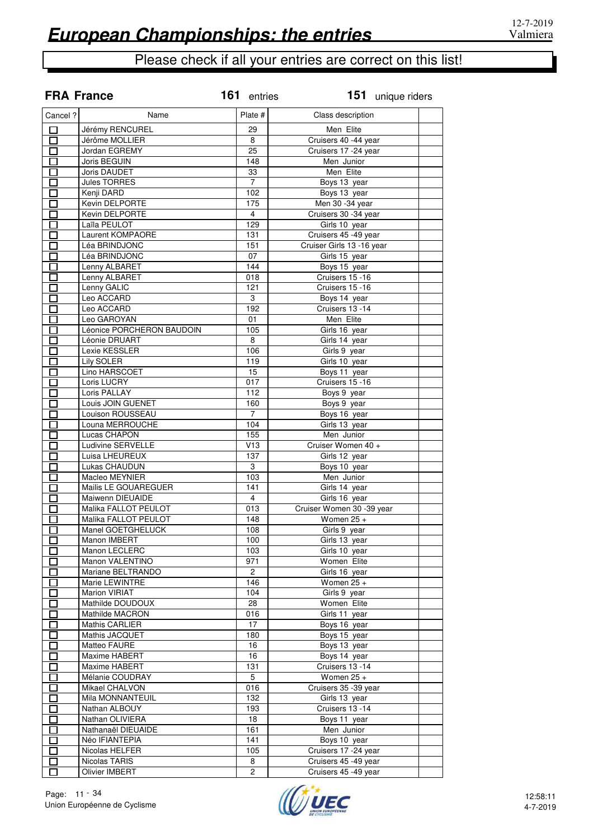|          | <b>FRA France</b>         | 161 entries             | 151 unique riders         |  |
|----------|---------------------------|-------------------------|---------------------------|--|
| Cancel ? | Name                      | Plate #                 | Class description         |  |
| $\Box$   | Jérémy RENCUREL           | 29                      | Men Elite                 |  |
| П        | Jérôme MOLLIER            | 8                       | Cruisers 40 -44 year      |  |
| $\Box$   | Jordan EGREMY             | 25                      | Cruisers 17 -24 year      |  |
| П        | Joris BEGUIN              | 148                     | Men Junior                |  |
| П        | Joris DAUDET              | 33                      | Men Elite                 |  |
|          | Jules TORRES              | $\overline{7}$          | Boys 13 year              |  |
| П        | Kenji DARD                | 102                     | Boys 13 year              |  |
| П        | Kevin DELPORTE            | 175                     | Men 30 -34 year           |  |
| $\Box$   | Kevin DELPORTE            | $\overline{4}$          | Cruisers 30 - 34 year     |  |
| П        | Laïla PEULOT              | 129                     | Girls 10 year             |  |
| П        | Laurent KOMPAORE          | 131                     | Cruisers 45 -49 year      |  |
| П        | Léa BRINDJONC             | 151                     | Cruiser Girls 13 -16 year |  |
| П        | Léa BRINDJONC             | 07                      | Girls 15 year             |  |
|          | Lenny ALBARET             | 144                     | Boys 15 year              |  |
| П        | Lenny ALBARET             | 018                     | Cruisers 15 -16           |  |
| П        | Lenny GALIC               | 121                     | Cruisers 15 -16           |  |
| $\Box$   | Leo ACCARD                | 3                       | Boys 14 year              |  |
| П        | Leo ACCARD                | 192                     | Cruisers 13 -14           |  |
| П        | Leo GAROYAN               | 01                      | Men Elite                 |  |
| П        | Léonice PORCHERON BAUDOIN | 105                     | Girls 16 year             |  |
| $\Box$   | Léonie DRUART             | 8                       | Girls 14 year             |  |
| П        | Lexie KESSLER             | 106                     | Girls 9 year              |  |
| П        | Lily SOLER                | 119                     | Girls 10 year             |  |
| П        | Lino HARSCOET             | 15                      | Boys 11 year              |  |
| 口        | Loris LUCRY               | 017                     | Cruisers 15 -16           |  |
| $\Box$   | Loris PALLAY              | 112                     | Boys 9 year               |  |
| П        | Louis JOIN GUENET         | 160                     | Boys 9 year               |  |
| П        | Louison ROUSSEAU          | $\overline{7}$          | Boys 16 year              |  |
| П        | Louna MERROUCHE           | 104                     | Girls 13 year             |  |
| П        | Lucas CHAPON              | 155                     | Men Junior                |  |
| П        | Ludivine SERVELLE         | V13                     | Cruiser Women 40 +        |  |
| П        | Luisa LHEUREUX            | 137                     | Girls 12 year             |  |
| П        | Lukas CHAUDUN             | $\overline{3}$          | Boys 10 year              |  |
| П        | Macleo MEYNIER            | 103                     | Men Junior                |  |
|          | Mailis LE GOUAREGUER      | 141                     | Girls 14 year             |  |
|          | Maiwenn DIEUAIDE          | $\overline{\mathbf{4}}$ | Girls 16 year             |  |
|          | Malika FALLOT PEULOT      | 013                     | Cruiser Women 30 -39 year |  |
|          | Malika FALLOT PEULOT      | 148                     | Women $25 +$              |  |
|          | Manel GOETGHELUCK         | 108                     | Girls 9 year              |  |
| II.      | Manon IMBERT              | 100                     | Girls 13 year             |  |
| П        | Manon LECLERC             | 103                     | Girls 10 year             |  |
| П        | Manon VALENTINO           | 971                     | Women Elite               |  |
|          | Mariane BELTRANDO         | $\overline{c}$          | Girls 16 year             |  |
| П        | Marie LEWINTRE            | 146                     | Women $25 +$              |  |
| П        | Marion VIRIAT             | 104                     | Girls 9 year              |  |
| $\Box$   | Mathilde DOUDOUX          | 28                      | Women Elite               |  |
| П        | Mathilde MACRON           | 016                     | Girls 11 year             |  |
| П        | Mathis CARLIER            | 17                      | Boys 16 year              |  |
| П        | Mathis JACQUET            | 180                     | Boys 15 year              |  |
| $\Box$   | Matteo FAURE              | 16                      | Boys 13 year              |  |
| П        | Maxime HABERT             | 16                      | Boys 14 year              |  |
| П        | Maxime HABERT             | 131                     | Cruisers 13 -14           |  |
| П        | Mélanie COUDRAY           | 5                       | Women $25 +$              |  |
| $\Box$   | Mikael CHALVON            | 016                     | Cruisers 35 -39 year      |  |
| $\Box$   | Mila MONNANTEUIL          | 132                     | Girls 13 year             |  |
| П        | Nathan ALBOUY             | 193                     | Cruisers 13 -14           |  |
| П        | Nathan OLIVIERA           | 18                      | Boys 11 year              |  |
| $\Box$   | Nathanaël DIEUAIDE        | 161                     | Men Junior                |  |
| П        | Néo IFIANTEPIA            | 141                     | Boys 10 year              |  |
| П        | Nicolas HELFER            | 105                     | Cruisers 17 - 24 year     |  |
| П        | Nicolas TARIS             | 8                       | Cruisers 45 -49 year      |  |
|          | <b>Olivier IMBERT</b>     | $\overline{c}$          | Cruisers 45 -49 year      |  |

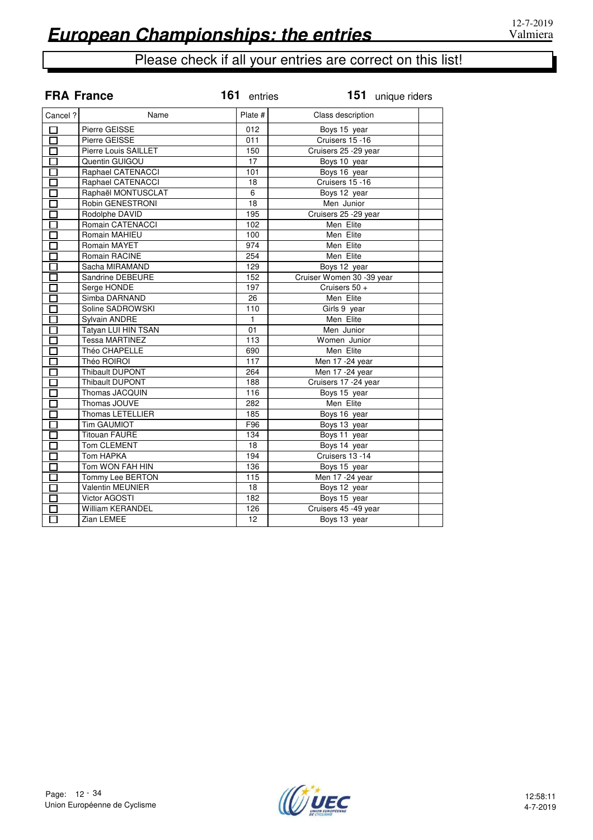|                   | <b>FRA France</b>       | 161 entries       | 151 unique riders         |
|-------------------|-------------------------|-------------------|---------------------------|
| Cancel ?          | Name                    | Plate #           | Class description         |
| П                 | Pierre GEISSE           | 012               | Boys 15 year              |
| □                 | Pierre GEISSE           | 011               | Cruisers 15 -16           |
| П                 | Pierre Louis SAILLET    | $\overline{150}$  | Cruisers 25 - 29 year     |
| П                 | Quentin GUIGOU          | 17                | Boys 10 year              |
| П                 | Raphael CATENACCI       | 101               | Boys 16 year              |
| $\Box$            | Raphael CATENACCI       | 18                | Cruisers 15 -16           |
| П                 | Raphaël MONTUSCLAT      | 6                 | Boys 12 year              |
| П                 | Robin GENESTRONI        | 18                | Men Junior                |
| П                 | Rodolphe DAVID          | 195               | Cruisers 25 - 29 year     |
| $\overline{\Box}$ | Romain CATENACCI        | 102               | Men Elite                 |
| $\Box$            | Romain MAHIEU           | 100               | Men Elite                 |
| П                 | Romain MAYET            | 974               | Men Elite                 |
|                   | Romain RACINE           | 254               | Men Elite                 |
| П                 | Sacha MIRAMAND          | $\overline{129}$  | Boys 12 year              |
| П                 | Sandrine DEBEURE        | 152               | Cruiser Women 30 -39 year |
| П                 | Serge HONDE             | 197               | Cruisers 50 +             |
| П                 | Simba DARNAND           | 26                | Men Elite                 |
| П                 | Soline SADROWSKI        | 110               | Girls 9 year              |
| П                 | Sylvain ANDRE           | $\overline{1}$    | Men Elite                 |
| П                 | Tatyan LUI HIN TSAN     | $\overline{01}$   | Men Junior                |
| П                 | <b>Tessa MARTINEZ</b>   | 113               | Women Junior              |
|                   | Théo CHAPELLE           | 690               | Men Elite                 |
| П                 | Théo ROIROI             | 117               | Men 17 -24 year           |
| П                 | Thibault DUPONT         | 264               | Men 17 - 24 year          |
| $\Box$            | <b>Thibault DUPONT</b>  | 188               | Cruisers 17 -24 year      |
| $\Box$            | Thomas JACQUIN          | 116               | Boys 15 year              |
| П                 | Thomas JOUVE            | 282               | Men Elite                 |
| П                 | Thomas LETELLIER        | 185               | Boys 16 year              |
| П                 | <b>Tim GAUMIOT</b>      | F96               | Boys 13 year              |
| 口                 | <b>Titouan FAURE</b>    | 134               | Boys 11 year              |
| П                 | <b>Tom CLEMENT</b>      | 18                | Boys 14 year              |
|                   | Tom HAPKA               | 194               | Cruisers 13 -14           |
| П                 | Tom WON FAH HIN         | 136               | Boys 15 year              |
| $\Box$            | Tommy Lee BERTON        | $\frac{115}{115}$ | Men 17 - 24 year          |
| П                 | <b>Valentin MEUNIER</b> | 18                | Boys 12 year              |
| П                 | Victor AGOSTI           | 182               | Boys 15 year              |
| П                 | <b>William KERANDEL</b> | 126               | Cruisers 45 -49 year      |
| П                 | Zian LEMEE              | $\overline{12}$   | Boys 13 year              |

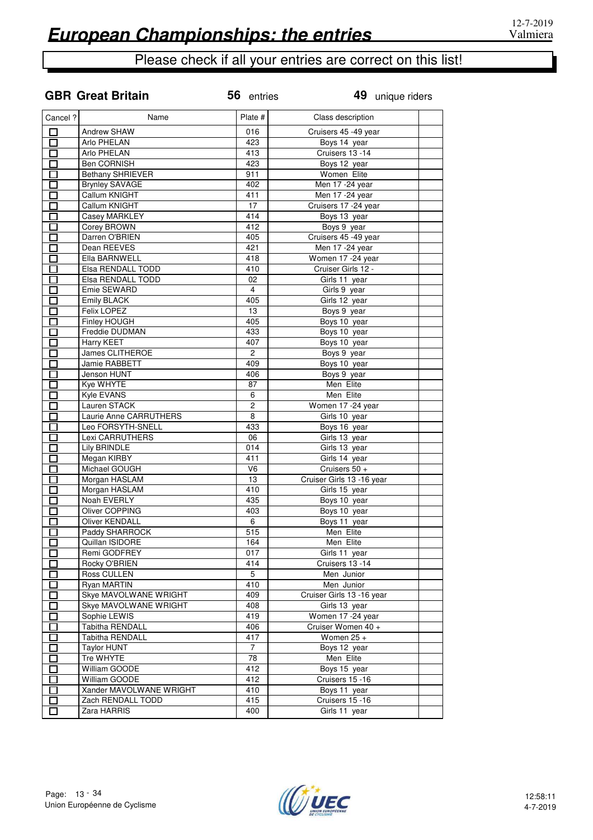**GBR Great Britain**

## Please check if all your entries are correct on this list!

| Cancel ?                    | Name                    | Plate #                 | Class description         |  |
|-----------------------------|-------------------------|-------------------------|---------------------------|--|
| П                           | <b>Andrew SHAW</b>      | 016                     | Cruisers 45 -49 year      |  |
|                             | Arlo PHELAN             | 423                     | Boys 14 year              |  |
| П                           | Arlo PHELAN             | 413                     | Cruisers 13 -14           |  |
| П                           | <b>Ben CORNISH</b>      | 423                     | Boys 12 year              |  |
| П                           | <b>Bethany SHRIEVER</b> | 911                     | Women Elite               |  |
| $\mathcal{L}_{\mathcal{A}}$ | <b>Brynley SAVAGE</b>   | 402                     | Men 17 -24 year           |  |
| Π                           | Callum KNIGHT           | 411                     | Men 17 - 24 year          |  |
| П                           | Callum KNIGHT           | 17                      | Cruisers 17 -24 year      |  |
| П                           | Casey MARKLEY           | 414                     | Boys 13 year              |  |
| E.                          | Corey BROWN             | 412                     | Boys 9 year               |  |
| Γ                           | Darren O'BRIEN          | 405                     | Cruisers 45 -49 year      |  |
|                             | Dean REEVES             | 421                     | Men 17 - 24 year          |  |
|                             | Ella BARNWELL           | 418                     | Women 17 - 24 year        |  |
|                             | Elsa RENDALL TODD       | 410                     | Cruiser Girls 12 -        |  |
|                             | Elsa RENDALL TODD       | 02                      | Girls 11 year             |  |
|                             | Emie SEWARD             | $\overline{4}$          | Girls 9 year              |  |
|                             | Emily BLACK             | 405                     | Girls 12 year             |  |
| $\sim$                      | Felix LOPEZ             | 13                      | Boys 9 year               |  |
|                             | Finley HOUGH            | 405                     | Boys 10 year              |  |
|                             | Freddie DUDMAN          | 433                     | Boys 10 year              |  |
|                             | <b>Harry KEET</b>       | 407                     | Boys 10 year              |  |
| $\sim$                      | James CLITHEROE         | $\overline{\mathbf{c}}$ | Boys 9 year               |  |
| $\sim$                      | Jamie RABBETT           | 409                     | Boys 10 year              |  |
| $\mathcal{L}_{\mathcal{A}}$ | Jenson HUNT             | 406                     | Boys 9 year               |  |
| $\mathcal{L}_{\mathcal{A}}$ | Kye WHYTE               | 87                      | Men Elite                 |  |
| $\overline{\phantom{a}}$    | Kyle EVANS              | 6                       | Men Elite                 |  |
| $\sim$                      | Lauren STACK            | $\overline{2}$          | Women 17 - 24 year        |  |
| $\overline{\phantom{0}}$    | Laurie Anne CARRUTHERS  | 8                       | Girls 10 year             |  |
| $\mathcal{L}_{\mathcal{A}}$ | Leo FORSYTH-SNELL       | 433                     | Boys 16 year              |  |
| $\mathcal{L}$               | Lexi CARRUTHERS         | 06                      | Girls 13 year             |  |
| Ω                           | Lily BRINDLE            | 014                     | Girls 13 year             |  |
| П                           | Megan KIRBY             | 411                     | Girls 14 year             |  |
| ٦                           | Michael GOUGH           | V <sub>6</sub>          | Cruisers 50 +             |  |
| П                           | Morgan HASLAM           | 13                      | Cruiser Girls 13 -16 year |  |
|                             | Morgan HASLAM           | 410                     | Girls 15 year             |  |
| П                           | Noah EVERLY             | 435                     | Boys 10 year              |  |
|                             | Oliver COPPING          | 403                     | Boys 10 year              |  |
| $\mathcal{L}^{\mathcal{L}}$ | <b>Oliver KENDALL</b>   | 6                       | Boys 11 year              |  |
|                             | Paddy SHARROCK          | 515                     | Men Elite                 |  |
|                             | Quillan ISIDORE         | 164                     | Men Elite                 |  |
|                             | Remi GODFREY            | 017                     |                           |  |
| J.                          |                         |                         | Girls 11 year             |  |
|                             | Rocky O'BRIEN           | 414                     | Cruisers 13 -14           |  |
|                             | Ross CULLEN             | 5                       | Men Junior                |  |
|                             | Ryan MARTIN             | 410                     | Men Junior                |  |
|                             | Skye MAVOLWANE WRIGHT   | 409                     | Cruiser Girls 13 -16 year |  |
|                             | Skye MAVOLWANE WRIGHT   | 408                     | Girls 13 year             |  |
|                             | Sophie LEWIS            | 419                     | Women 17 -24 year         |  |
|                             | Tabitha RENDALL         | 406                     | Cruiser Women 40 +        |  |
|                             | Tabitha RENDALL         | 417                     | Women $25 +$              |  |
|                             | <b>Taylor HUNT</b>      | 7                       | Boys 12 year              |  |
| $\sim$                      | Tre WHYTE               | 78                      | Men Elite                 |  |
| $\mathbf{r}$                | William GOODE           | 412                     | Boys 15 year              |  |
| $\overline{\phantom{a}}$    | William GOODE           | 412                     | Cruisers 15 -16           |  |
|                             | Xander MAVOLWANE WRIGHT | 410                     | Boys 11 year              |  |
| $\sim$                      | Zach RENDALL TODD       | 415                     | Cruisers 15 -16           |  |
| $\mathcal{L}$               | Zara HARRIS             | 400                     | Girls 11 year             |  |
|                             |                         |                         |                           |  |

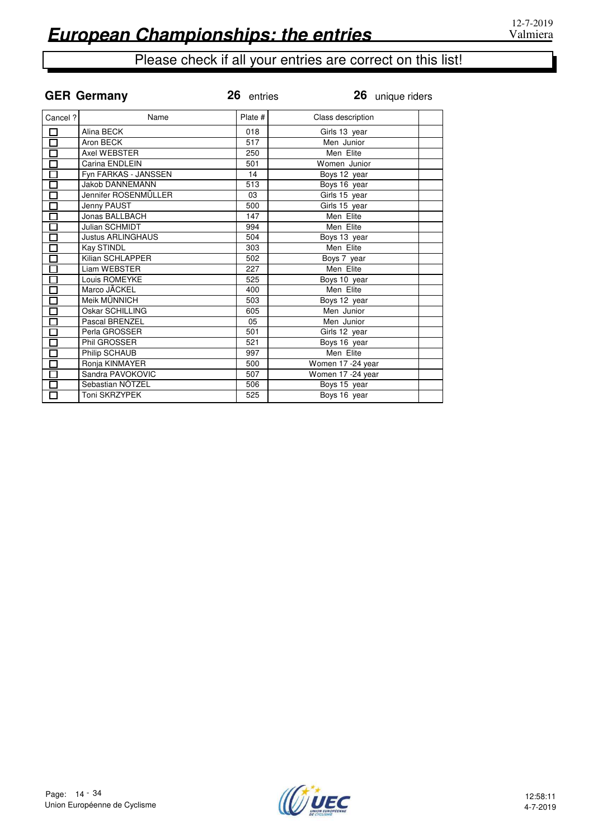| 26 unique riders |
|------------------|
|                  |
|                  |
|                  |
|                  |
|                  |
|                  |
|                  |
|                  |
|                  |
|                  |
|                  |
|                  |
|                  |
|                  |
|                  |
|                  |
|                  |
|                  |
|                  |
|                  |
|                  |
|                  |
|                  |
|                  |
|                  |
|                  |
|                  |
|                  |

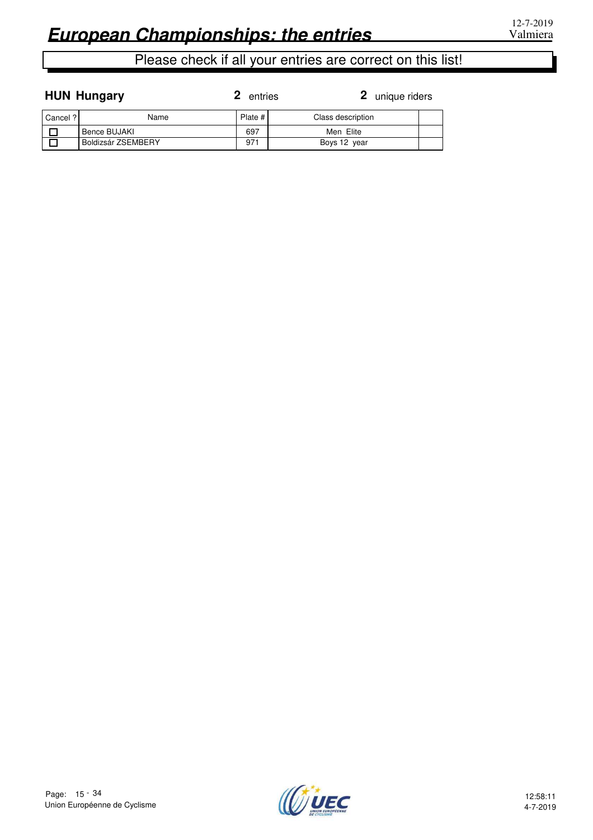|  | <b>HUN Hungary</b> |  |
|--|--------------------|--|
|  |                    |  |

**2** entries

| Cancel? | Name               | Plate #      | Class description |  |
|---------|--------------------|--------------|-------------------|--|
|         | Bence BUJAKI       | 697          | Men Elite         |  |
|         | Boldizsár ZSEMBERY | $97^{\circ}$ | Boys 12 year      |  |

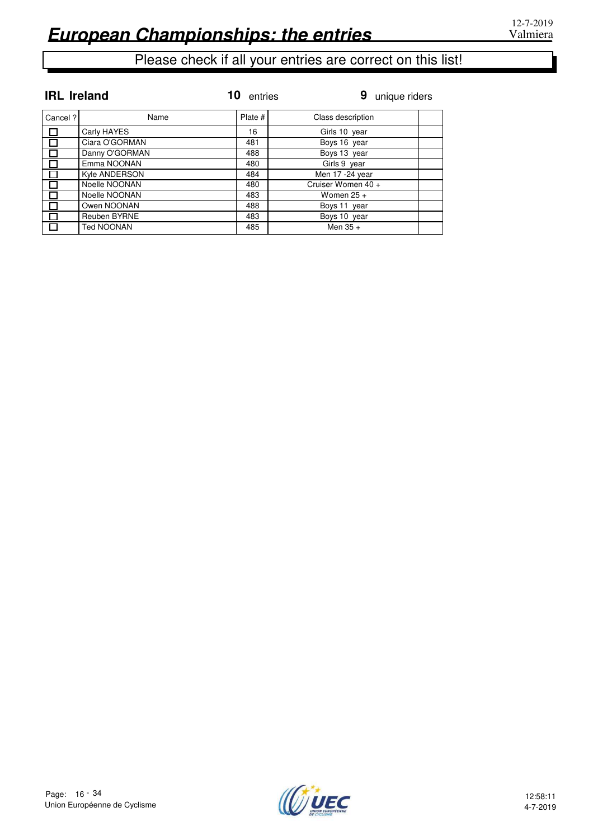| <b>IRL</b> Ireland |                | 10.<br>entries | 9<br>unique riders |  |
|--------------------|----------------|----------------|--------------------|--|
| Cancel ?           | Name           | Plate #        | Class description  |  |
| 口                  | Carly HAYES    | 16             | Girls 10 year      |  |
| $\Box$             | Ciara O'GORMAN | 481            | Boys 16 year       |  |
| П                  | Danny O'GORMAN | 488            | Boys 13 year       |  |
| П                  | Emma NOONAN    | 480            | Girls 9 year       |  |
| П                  | Kyle ANDERSON  | 484            | Men 17 -24 year    |  |
| П                  | Noelle NOONAN  | 480            | Cruiser Women 40 + |  |
| $\Box$             | Noelle NOONAN  | 483            | Women $25 +$       |  |
| П                  | Owen NOONAN    | 488            | Boys 11 year       |  |
| П                  | Reuben BYRNE   | 483            | Boys 10 year       |  |
| 口                  | Ted NOONAN     | 485            | Men $35 +$         |  |

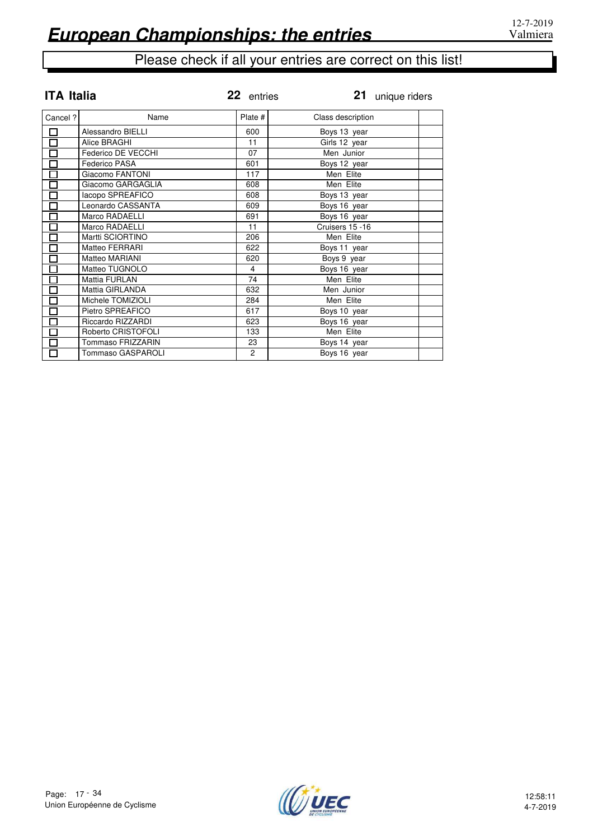| <b>ITA Italia</b>            |                    | 22 entries     | 21 unique riders  |
|------------------------------|--------------------|----------------|-------------------|
| Cancel ?                     | Name               | Plate #        | Class description |
| 口                            | Alessandro BIELLI  | 600            | Boys 13 year      |
| $\overline{\square}$         | Alice BRAGHI       | 11             | Girls 12 year     |
| $\Box$                       | Federico DE VECCHI | 07             | Men Junior        |
|                              | Federico PASA      | 601            | Boys 12 year      |
| 2002<br>200                  | Giacomo FANTONI    | 117            | Men Elite         |
|                              | Giacomo GARGAGLIA  | 608            | Men Elite         |
|                              | lacopo SPREAFICO   | 608            | Boys 13 year      |
| $\overline{\square}$         | Leonardo CASSANTA  | 609            | Boys 16 year      |
| $\overline{\Box}$            | Marco RADAELLI     | 691            | Boys 16 year      |
| $\Box$                       | Marco RADAELLI     | 11             | Cruisers 15 -16   |
| $\Box$                       | Martti SCIORTINO   | 206            | Men Elite         |
| $\overline{\Box}$            | Matteo FERRARI     | 622            | Boys 11 year      |
|                              | Matteo MARIANI     | 620            | Boys 9 year       |
| Ō                            | Matteo TUGNOLO     | 4              | Boys 16 year      |
| $\overline{\Xi}$             | Mattia FURLAN      | 74             | Men Elite         |
|                              | Mattia GIRLANDA    | 632            | Men Junior        |
|                              | Michele TOMIZIOLI  | 284            | Men Elite         |
| $\overline{\Box}$            | Pietro SPREAFICO   | 617            | Boys 10 year      |
| $\overline{\Box}$            | Riccardo RIZZARDI  | 623            | Boys 16 year      |
| $\overline{\square}$         | Roberto CRISTOFOLI | 133            | Men Elite         |
| $\overline{\overline{\Box}}$ | Tommaso FRIZZARIN  | 23             | Boys 14 year      |
| $\overline{\Box}$            | Tommaso GASPAROLI  | $\overline{2}$ | Boys 16 year      |

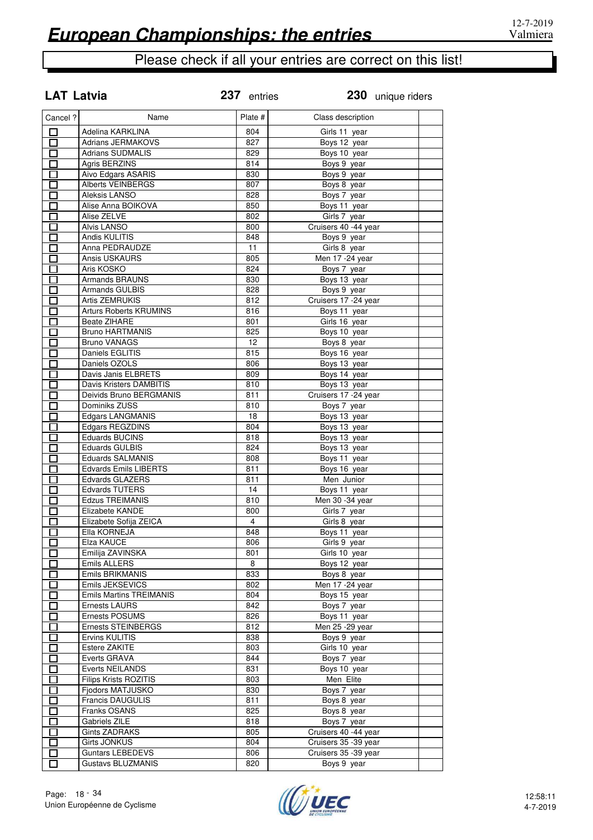| <b>LAT Latvia</b> |                                          | 237 entries     | 230 unique riders            |  |
|-------------------|------------------------------------------|-----------------|------------------------------|--|
| Cancel ?          | Name                                     | Plate #         | Class description            |  |
| □                 | Adelina KARKLINA                         | 804             | Girls 11 year                |  |
| П                 | <b>Adrians JERMAKOVS</b>                 | 827             | Boys 12 year                 |  |
| П                 | <b>Adrians SUDMALIS</b>                  | 829             | Boys 10 year                 |  |
| П                 | Agris BERZINS                            | 814             | Boys 9 year                  |  |
| П                 | Aivo Edgars ASARIS                       | 830             | Boys 9 year                  |  |
| П                 | <b>Alberts VEINBERGS</b>                 | 807             | Boys 8 year                  |  |
| П                 | Aleksis LANSO                            | 828             | Boys 7 year                  |  |
| П                 | Alise Anna BOIKOVA                       | 850             | Boys 11 year                 |  |
| $\Box$            | Alise ZELVE                              | 802             | Girls 7 year                 |  |
| П                 | <b>Alvis LANSO</b>                       | 800             | Cruisers 40 -44 year         |  |
| $\Box$            | Andis KULITIS                            | 848             | Boys 9 year                  |  |
| $\Box$            | Anna PEDRAUDZE                           | 11              | Girls 8 year                 |  |
| П                 | Ansis USKAURS                            | 805             | Men 17 - 24 year             |  |
| П                 | Aris KOSKO                               | 824             | Boys 7 year                  |  |
| $\Box$            | <b>Armands BRAUNS</b>                    | 830             | Boys 13 year                 |  |
| $\Box$            | Armands GULBIS                           | 828             | Boys 9 year                  |  |
| П                 | Artis ZEMRUKIS                           | 812             | Cruisers 17 -24 year         |  |
| П                 | Arturs Roberts KRUMINS                   | 816             | Boys 11 year                 |  |
| $\blacksquare$    | <b>Beate ZIHARE</b>                      | 801             | Girls 16 year                |  |
| $\Box$            | <b>Bruno HARTMANIS</b>                   | 825             | Boys 10 year                 |  |
| П                 | <b>Bruno VANAGS</b>                      | 12 <sup>2</sup> | Boys 8 year                  |  |
| П                 | Daniels EGLITIS                          | 815             | Boys 16 year                 |  |
| $\blacksquare$    | Daniels OZOLS                            | 806             | Boys 13 year                 |  |
| П                 | Davis Janis ELBRETS                      | 809             | Boys 14 year                 |  |
| П                 | Davis Kristers DAMBITIS                  | 810             | Boys 13 year                 |  |
| П                 | Deivids Bruno BERGMANIS<br>Dominiks ZUSS | 811<br>810      | Cruisers 17 -24 year         |  |
| $\Box$            |                                          | 18              | Boys 7 year                  |  |
| $\Box$<br>$\Box$  | Edgars LANGMANIS<br>Edgars REGZDINS      | 804             | Boys 13 year<br>Boys 13 year |  |
| П                 | <b>Eduards BUCINS</b>                    | 818             | Boys 13 year                 |  |
| $\Box$            | <b>Eduards GULBIS</b>                    | 824             | Boys 13 year                 |  |
| $\Box$            | <b>Eduards SALMANIS</b>                  | 808             | Boys 11 year                 |  |
| П                 | <b>Edvards Emils LIBERTS</b>             | 811             | Boys 16 year                 |  |
| П                 | Edvards GLAZERS                          | 811             | Men Junior                   |  |
| П                 | <b>Edvards TUTERS</b>                    | 14              | Boys 11 year                 |  |
| П                 | <b>Edzus TREIMANIS</b>                   | 810             | Men 30 -34 year              |  |
| П                 | Elizabete KANDE                          | 800             | Girls 7 year                 |  |
| П                 | Elizabete Sofija ZEICA                   | 4               | Girls 8 year                 |  |
| $\Box$            | Ella KORNEJA                             | 848             | Boys 11 year                 |  |
| ◘                 | Elza KAUCE                               | 806             | Girls 9 year                 |  |
| П                 | Emilija ZAVINSKA                         | 801             | Girls 10 year                |  |
| Г                 | Emils ALLERS                             | 8               | Boys 12 year                 |  |
| П                 | Emils BRIKMANIS                          | 833             | Boys 8 year                  |  |
| $\Box$            | Emils JEKSEVICS                          | 802             | Men 17 - 24 year             |  |
| $\Box$            | <b>Emils Martins TREIMANIS</b>           | 804             | Boys 15 year                 |  |
| $\Box$            | Ernests LAURS                            | 842             | Boys 7 year                  |  |
| П                 | Ernests POSUMS                           | 826             | Boys 11 year                 |  |
| I I               | Ernests STEINBERGS                       | 812             | Men 25 - 29 year             |  |
| $\Box$            | Ervins KULITIS                           | 838             | Boys 9 year                  |  |
| П                 | Estere ZAKITE                            | 803             | Girls 10 year                |  |
| I I               | Everts GRAVA                             | 844             | Boys 7 year                  |  |
| П                 | <b>Everts NEILANDS</b>                   | 831             | Boys 10 year                 |  |
| Г                 | <b>Filips Krists ROZITIS</b>             | 803             | Men Elite                    |  |
| Г                 | Fjodors MATJUSKO                         | 830             | Boys 7 year                  |  |
| П                 | Francis DAUGULIS                         | 811             | Boys 8 year                  |  |
| $\mathbf{I}$      | Franks OSANS                             | 825             | Boys 8 year                  |  |
| П                 | Gabriels ZILE                            | 818             | Boys 7 year                  |  |
| П                 | <b>Gints ZADRAKS</b>                     | 805             | Cruisers 40 -44 year         |  |
| П                 | <b>Girts JONKUS</b>                      | 804             | Cruisers 35 -39 year         |  |
| П                 | <b>Guntars LEBEDEVS</b>                  | 806             | Cruisers 35 - 39 year        |  |
| П                 | <b>Gustavs BLUZMANIS</b>                 | 820             | Boys 9 year                  |  |

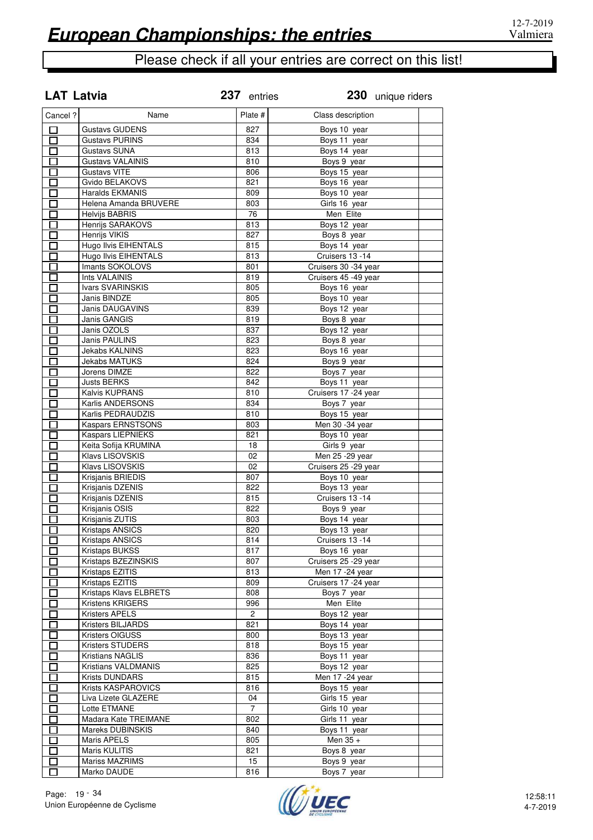|                   | <b>LAT Latvia</b>       | 237 entries    | 230 unique riders     |  |
|-------------------|-------------------------|----------------|-----------------------|--|
| Cancel ?          | Name                    | Plate #        | Class description     |  |
| 口                 | <b>Gustavs GUDENS</b>   | 827            | Boys 10 year          |  |
| $\overline{\Box}$ | <b>Gustavs PURINS</b>   | 834            | Boys 11 year          |  |
| $\overline{\Box}$ | <b>Gustavs SUNA</b>     | 813            | Boys 14 year          |  |
| $\Box$            | <b>Gustavs VALAINIS</b> | 810            | Boys 9 year           |  |
| $\Box$            | <b>Gustavs VITE</b>     | 806            | Boys 15 year          |  |
| $\Box$            | Gvido BELAKOVS          | 821            | Boys 16 year          |  |
| $\Box$            | Haralds EKMANIS         | 809            | Boys 10 year          |  |
| $\Box$            | Helena Amanda BRUVERE   | 803            | Girls 16 year         |  |
| $\Box$            | <b>Helvijs BABRIS</b>   | 76             | Men Elite             |  |
| П                 | Henrijs SARAKOVS        | 813            | Boys 12 year          |  |
| $\Box$            | Henrijs VIKIS           | 827            | Boys 8 year           |  |
| $\Box$            | Hugo Ilvis EIHENTALS    | 815            | Boys 14 year          |  |
| $\Box$            | Hugo Ilvis EIHENTALS    | 813            | Cruisers 13 -14       |  |
| $\Box$            | Imants SOKOLOVS         | 801            | Cruisers 30 -34 year  |  |
| П                 | <b>Ints VALAINIS</b>    | 819            | Cruisers 45 -49 year  |  |
| $\Box$            | Ivars SVARINSKIS        | 805            | Boys 16 year          |  |
| П                 | Janis BINDZE            | 805            | Boys 10 year          |  |
| $\Box$            | Janis DAUGAVINS         | 839            | Boys 12 year          |  |
| $\overline{\Box}$ | <b>Janis GANGIS</b>     | 819            | Boys 8 year           |  |
| $\Box$            | Janis OZOLS             | 837            | Boys 12 year          |  |
| $\overline{\Box}$ | Janis PAULINS           | 823            | Boys 8 year           |  |
| 囗                 | <b>Jekabs KALNINS</b>   | 823            | Boys 16 year          |  |
| $\Box$            | <b>Jekabs MATUKS</b>    | 824            | Boys 9 year           |  |
| $\Box$            | Jorens DIMZE            | 822            | Boys 7 year           |  |
| Ó                 | Justs BERKS             | 842            | Boys 11 year          |  |
| $\Box$            | Kalvis KUPRANS          | 810            | Cruisers 17 - 24 year |  |
| $\Box$            | Karlis ANDERSONS        | 834            | Boys 7 year           |  |
| $\Box$            | Karlis PEDRAUDZIS       | 810            | Boys 15 year          |  |
| $\overline{\Box}$ | Kaspars ERNSTSONS       | 803            | Men 30 -34 year       |  |
| $\Box$            | Kaspars LIEPNIEKS       | 821            | Boys 10 year          |  |
| $\Box$            | Keita Sofija KRUMINA    | 18             | Girls 9 year          |  |
| $\Box$            | Klavs LISOVSKIS         | 02             | Men 25 - 29 year      |  |
| $\Box$            | Klavs LISOVSKIS         | 02             | Cruisers 25 - 29 year |  |
| $\Box$            | Krisjanis BRIEDIS       | 807            | Boys 10 year          |  |
| $\Box$            | Krisjanis DZENIS        | 822            | Boys 13 year          |  |
| $\Box$            | Krisjanis DZENIS        | 815            | Cruisers 13 -14       |  |
| П                 | Krisjanis OSIS          | 822            | Boys 9 year           |  |
| $\blacksquare$    | Krisjanis ZUTIS         | 803            | Boys 14 year          |  |
| П                 | <b>Kristaps ANSICS</b>  | 820            | Boys 13 year          |  |
| $\mathsf{\Gamma}$ | <b>Kristaps ANSICS</b>  | 814            | Cruisers 13 -14       |  |
| $\Box$            | Kristaps BUKSS          | 817            | Boys 16 year          |  |
| П                 | Kristaps BZEZINSKIS     | 807            | Cruisers 25 -29 year  |  |
| $\Box$            | Kristaps EZITIS         | 813            | Men 17 - 24 year      |  |
| П                 | Kristaps EZITIS         | 809            | Cruisers 17 -24 year  |  |
| $\Box$            | Kristaps Klavs ELBRETS  | 808            | Boys 7 year           |  |
| П                 | Kristens KRIGERS        | 996            | Men Elite             |  |
| $\Box$            | Kristers APELS          | $\overline{2}$ | Boys 12 year          |  |
| 囗                 | Kristers BILJARDS       | 821            | Boys 14 year          |  |
| $\Box$            | Kristers OIGUSS         | 800            | Boys 13 year          |  |
| $\Box$            | <b>Kristers STUDERS</b> | 818            | Boys 15 year          |  |
| $\Box$            | Kristians NAGLIS        | 836            | Boys 11 year          |  |
| 囗                 | Kristians VALDMANIS     | 825            | Boys 12 year          |  |
| $\Box$            | Krists DUNDARS          | 815            | Men 17 -24 year       |  |
| $\Box$            | Krists KASPAROVICS      | 816            | Boys 15 year          |  |
| $\Box$            | Liva Lizete GLAZERE     | 04             | Girls 15 year         |  |
| $\Box$            | Lotte ETMANE            | $\overline{7}$ | Girls 10 year         |  |
| $\Box$            | Madara Kate TREIMANE    | 802            | Girls 11 year         |  |
| П                 | Mareks DUBINSKIS        | 840            | Boys 11 year          |  |
| $\Box$            | Maris APELS             | 805            | Men $35 +$            |  |
| 囗                 | Maris KULITIS           | 821            | Boys 8 year           |  |
| П                 | Mariss MAZRIMS          | 15             | Boys 9 year           |  |
| П                 | Marko DAUDE             | 816            | Boys 7 year           |  |

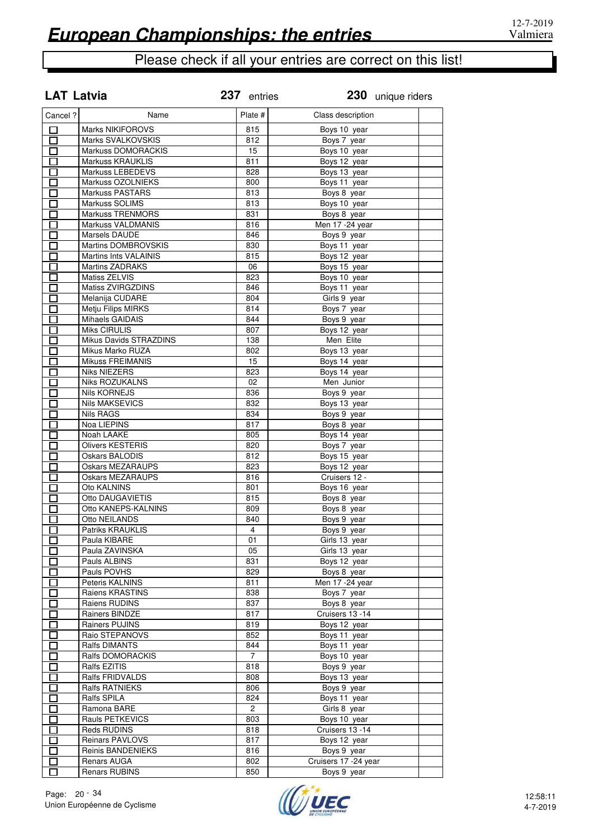|                   | <b>LAT Latvia</b>            | 237 entries    |                      | 230 unique riders |
|-------------------|------------------------------|----------------|----------------------|-------------------|
| Cancel ?          | Name                         | Plate #        | Class description    |                   |
| □                 | <b>Marks NIKIFOROVS</b>      | 815            | Boys 10 year         |                   |
| 口                 | Marks SVALKOVSKIS            | 812            | Boys 7 year          |                   |
| $\Box$            | Markuss DOMORACKIS           | 15             | Boys 10 year         |                   |
| П                 | <b>Markuss KRAUKLIS</b>      | 811            | Boys 12 year         |                   |
| П                 | Markuss LEBEDEVS             | 828            | Boys 13 year         |                   |
| $\Box$            | Markuss OZOLNIEKS            | 800            | Boys 11 year         |                   |
| П                 | <b>Markuss PASTARS</b>       | 813            | Boys 8 year          |                   |
| $\Box$            | Markuss SOLIMS               | 813            | Boys 10 year         |                   |
| П                 | <b>Markuss TRENMORS</b>      | 831            | Boys 8 year          |                   |
| $\Box$            | Markuss VALDMANIS            | 816            | Men 17 - 24 year     |                   |
| $\Box$            | Marsels DAUDE                | 846            | Boys 9 year          |                   |
| $\Box$            | Martins DOMBROVSKIS          | 830            | Boys 11 year         |                   |
| $\Box$            | <b>Martins Ints VALAINIS</b> | 815            | Boys 12 year         |                   |
| $\Box$            | <b>Martins ZADRAKS</b>       | 06             | Boys 15 year         |                   |
| $\overline{\Box}$ | Matiss ZELVIS                | 823            | Boys 10 year         |                   |
| $\Box$            | Matiss ZVIRGZDINS            | 846            | Boys 11 year         |                   |
| $\Box$            | Melanija CUDARE              | 804            | Girls 9 year         |                   |
| 口                 | <b>Metju Filips MIRKS</b>    | 814            | Boys 7 year          |                   |
| $\Box$            | Mihaels GAIDAIS              | 844            | Boys 9 year          |                   |
| $\Box$            | <b>Miks CIRULIS</b>          | 807            | Boys 12 year         |                   |
| $\overline{\Box}$ | Mikus Davids STRAZDINS       | 138            | Men Elite            |                   |
| $\Box$            | Mikus Marko RUZA             | 802            | Boys 13 year         |                   |
| 囗                 | Mikuss FREIMANIS             | 15             | Boys 14 year         |                   |
| $\Box$            | <b>Niks NIEZERS</b>          | 823            | Boys 14 year         |                   |
| П                 | Niks ROZUKALNS               | 02             | Men Junior           |                   |
| $\Box$            | <b>Nils KORNEJS</b>          | 836            | Boys 9 year          |                   |
| $\Box$            | <b>Nils MAKSEVICS</b>        | 832            | Boys 13 year         |                   |
| $\Box$            | <b>Nils RAGS</b>             | 834            | Boys 9 year          |                   |
| $\Box$            | Noa LIEPINS                  | 817            | Boys 8 year          |                   |
| $\Box$            | Noah LAAKE                   | 805            | Boys 14 year         |                   |
| $\Box$            | <b>Olivers KESTERIS</b>      | 820            | Boys 7 year          |                   |
| П                 | Oskars BALODIS               | 812            | Boys 15 year         |                   |
| П                 | <b>Oskars MEZARAUPS</b>      | 823            | Boys 12 year         |                   |
| П                 | Oskars MEZARAUPS             | 816            | Cruisers 12 -        |                   |
| $\Box$            | Oto KALNINS                  | 801            | Boys 16 year         |                   |
| П                 | Otto DAUGAVIETIS             | 815            | Boys 8 year          |                   |
| $\Box$            | Otto KANEPS-KALNINS          | 809            | Boys 8 year          |                   |
| П                 | Otto NEILANDS                | 840            | Boys 9 year          |                   |
| П                 | <b>Patriks KRAUKLIS</b>      | $\overline{4}$ | Boys 9 year          |                   |
| П                 | Paula KIBARE                 | 01             | Girls 13 year        |                   |
| П                 | Paula ZAVINSKA               | 05             | Girls 13 year        |                   |
| $\Box$            | Pauls ALBINS                 | 831            | Boys 12 year         |                   |
| $\Box$            | Pauls POVHS                  | 829            | Boys 8 year          |                   |
| 口                 | Peteris KALNINS              | 811            | Men 17 - 24 year     |                   |
| $\Box$            | Raiens KRASTINS              | 838            | Boys 7 year          |                   |
| $\Box$            | Raiens RUDINS                | 837            | Boys 8 year          |                   |
| 口                 | Rainers BINDZE               | 817            | Cruisers 13 -14      |                   |
| $\Box$            | Rainers PUJINS               | 819            | Boys 12 year         |                   |
| $\Box$            | Raio STEPANOVS               | 852            | Boys 11 year         |                   |
| $\Box$            | Ralfs DIMANTS                | 844            | Boys 11 year         |                   |
| $\Box$            | Ralfs DOMORACKIS             | 7              | Boys 10 year         |                   |
| $\Box$            | Ralfs EZITIS                 | 818            | Boys 9 year          |                   |
| $\Box$            | Ralfs FRIDVALDS              | 808            | Boys 13 year         |                   |
| $\Box$            | Ralfs RATNIEKS               | 806            | Boys 9 year          |                   |
| $\Box$            | Ralfs SPILA                  | 824            | Boys 11 year         |                   |
| $\Box$            | Ramona BARE                  | $\mathbf{2}$   | Girls 8 year         |                   |
| П                 | Rauls PETKEVICS              | 803            | Boys 10 year         |                   |
| П                 | Reds RUDINS                  | 818            | Cruisers 13 -14      |                   |
| $\Box$            | <b>Reinars PAVLOVS</b>       | 817            | Boys 12 year         |                   |
| $\Box$            | Reinis BANDENIEKS            | 816            | Boys 9 year          |                   |
| П                 | Renars AUGA                  | 802            | Cruisers 17 -24 year |                   |
| П                 | Renars RUBINS                | 850            | Boys 9 year          |                   |

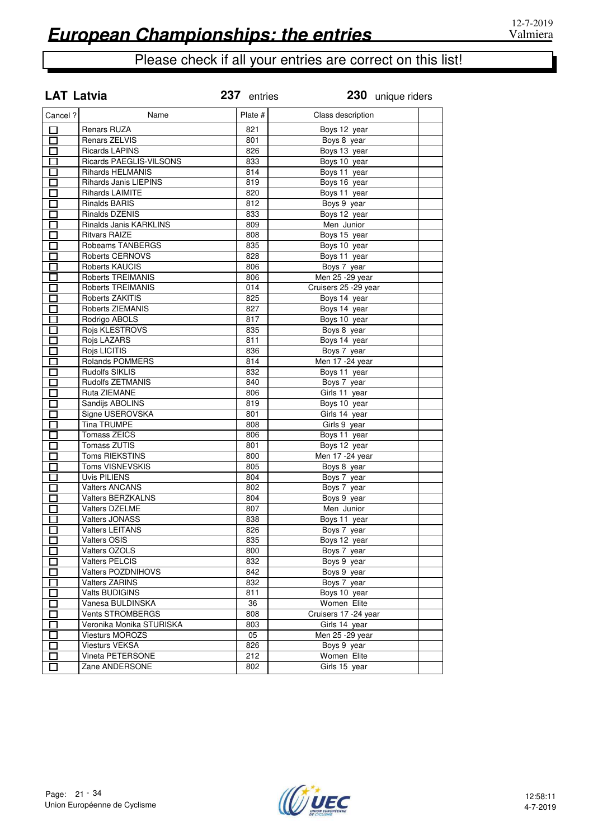| <b>LAT Latvia</b> |                          | 237 entries | 230 unique riders     |
|-------------------|--------------------------|-------------|-----------------------|
| Cancel ?          | Name                     | Plate #     | Class description     |
| 口                 | Renars RUZA              | 821         | Boys 12 year          |
| □                 | Renars ZELVIS            | 801         | Boys 8 year           |
| П                 | <b>Ricards LAPINS</b>    | 826         | Boys 13 year          |
| П                 | Ricards PAEGLIS-VILSONS  | 833         | Boys 10 year          |
| П                 | <b>Rihards HELMANIS</b>  | 814         | Boys 11 year          |
| $\Box$            | Rihards Janis LIEPINS    | 819         | Boys 16 year          |
| П                 | <b>Rihards LAIMITE</b>   | 820         | Boys 11 year          |
| $\Box$            | <b>Rinalds BARIS</b>     | 812         | Boys 9 year           |
| $\Box$            | Rinalds DZENIS           | 833         | Boys 12 year          |
| $\Box$            | Rinalds Janis KARKLINS   | 809         | Men Junior            |
| 囗                 | <b>Ritvars RAIZE</b>     | 808         | Boys 15 year          |
| $\Box$            | Robeams TANBERGS         | 835         | Boys 10 year          |
| П                 | <b>Roberts CERNOVS</b>   | 828         | Boys 11 year          |
| $\Box$            | Roberts KAUCIS           | 806         | Boys 7 year           |
| $\Box$            | Roberts TREIMANIS        | 806         | Men 25 - 29 year      |
| $\Box$            | Roberts TREIMANIS        | 014         | Cruisers 25 - 29 year |
| $\Box$            | Roberts ZAKITIS          | 825         | Boys 14 year          |
| $\Box$            | Roberts ZIEMANIS         | 827         | Boys 14 year          |
| $\Box$            | Rodrigo ABOLS            | 817         | Boys 10 year          |
| $\Box$            | Rojs KLESTROVS           | 835         | Boys 8 year           |
| Ď                 | Rojs LAZARS              | 811         | Boys 14 year          |
| $\Box$            | Rojs LICITIS             | 836         | Boys 7 year           |
| $\Box$            | Rolands POMMERS          | 814         | Men 17 - 24 year      |
| $\Box$            | <b>Rudolfs SIKLIS</b>    | 832         | Boys 11 year          |
| $\Box$            | Rudolfs ZETMANIS         | 840         | Boys 7 year           |
| $\Box$            | Ruta ZIEMANE             | 806         | Girls 11 year         |
| $\Box$            | Sandijs ABOLINS          | 819         | Boys 10 year          |
| П                 | Signe USEROVSKA          | 801         | Girls 14 year         |
| П                 | <b>Tina TRUMPE</b>       | 808         | Girls 9 year          |
| $\Box$            | Tomass ZEICS             | 806         | Boys 11 year          |
| $\Box$            | Tomass ZUTIS             | 801         | Boys 12 year          |
| П                 | <b>Toms RIEKSTINS</b>    | 800         | Men 17 -24 year       |
| П                 | <b>Toms VISNEVSKIS</b>   | 805         | Boys 8 year           |
| П                 | Uvis PILIENS             | 804         | Boys 7 year           |
| $\Box$            | <b>Valters ANCANS</b>    | 802         | Boys 7 year           |
| П                 | <b>Valters BERZKALNS</b> | 804         | Boys 9 year           |
| П                 | Valters DZELME           | 807         | Men Junior            |
| П                 | <b>Valters JONASS</b>    | 838         | Boys 11 year          |
| 口                 | <b>Valters LEITANS</b>   | 826         | Boys 7 year           |
|                   | Valters OSIS             | 835         | Boys 12 year          |
|                   | Valters OZOLS            | 800         | Boys 7 year           |
| П                 | Valters PELCIS           | 832         | Boys 9 year           |
|                   | Valters POZDNIHOVS       | 842         | Boys 9 year           |
| Ũ                 | <b>Valters ZARINS</b>    | 832         | Boys 7 year           |
|                   | Valts BUDIGINS           | 811         | Boys 10 year          |
| $\Box$            | Vanesa BULDINSKA         | 36          | Women Elite           |
|                   | Vents STROMBERGS         | 808         | Cruisers 17 - 24 year |
|                   | Veronika Monika STURISKA | 803         | Girls 14 year         |
|                   | <b>Viesturs MOROZS</b>   | 05          | Men 25 - 29 year      |
|                   | <b>Viesturs VEKSA</b>    | 826         | Boys 9 year           |
|                   | Vineta PETERSONE         | 212         | Women Elite           |
|                   | Zane ANDERSONE           | 802         | Girls 15 year         |

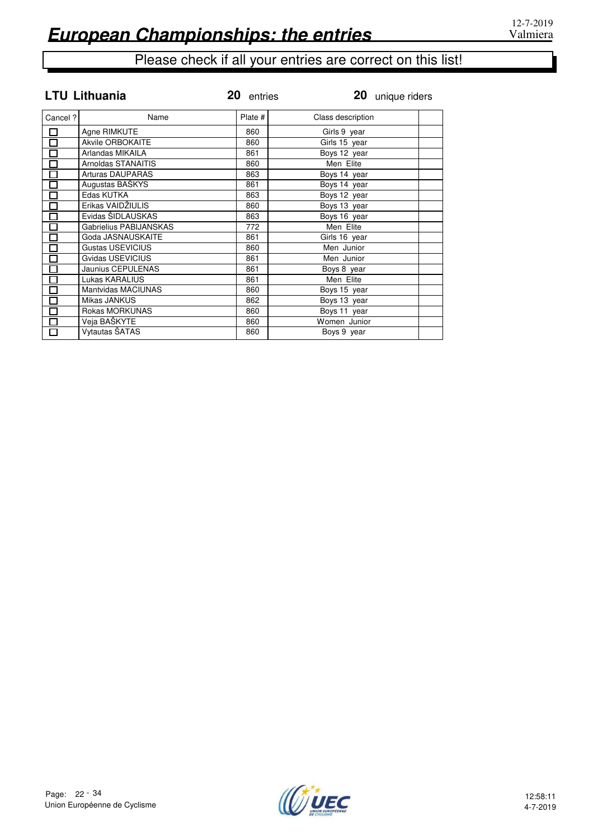|                   | <b>LTU Lithuania</b>    | 20 entries | 20 unique riders  |  |
|-------------------|-------------------------|------------|-------------------|--|
| Cancel ?          | Name                    | Plate #    | Class description |  |
| $\Box$            | Agne RIMKUTE            | 860        | Girls 9 year      |  |
| $\Box$            | Akvile ORBOKAITE        | 860        | Girls 15 year     |  |
| $\Box$            | Arlandas MIKAILA        | 861        | Boys 12 year      |  |
| $\Box$            | Arnoldas STANAITIS      | 860        | Men Elite         |  |
| $\Box$            | <b>Arturas DAUPARAS</b> | 863        | Boys 14 year      |  |
| $\Box$            | Augustas BAŠKYS         | 861        | Boys 14 year      |  |
| $\Box$            | Edas KUTKA              | 863        | Boys 12 year      |  |
| $\overline{\Box}$ | Erikas VAIDŽIULIS       | 860        | Boys 13 year      |  |
| $\Box$            | Evidas ŠIDLAUSKAS       | 863        | Boys 16 year      |  |
| $\Box$            | Gabrielius PABIJANSKAS  | 772        | Men Elite         |  |
| $\Box$            | Goda JASNAUSKAITE       | 861        | Girls 16 year     |  |
| $\overline{\Box}$ | Gustas USEVICIUS        | 860        | Men Junior        |  |
| $\Box$            | Gvidas USEVICIUS        | 861        | Men Junior        |  |
| $\overline{\Box}$ | Jaunius CEPULENAS       | 861        | Boys 8 year       |  |
| $\overline{\Box}$ | Lukas KARALIUS          | 861        | Men Elite         |  |
| $\Box$            | Mantvidas MACIUNAS      | 860        | Boys 15 year      |  |
| $\Box$            | Mikas JANKUS            | 862        | Boys 13 year      |  |
| $\overline{\Xi}$  | Rokas MORKUNAS          | 860        | Boys 11 year      |  |
|                   | Veja BAŠKYTE            | 860        | Women Junior      |  |
| $\Box$            | Vytautas ŠATAS          | 860        | Boys 9 year       |  |

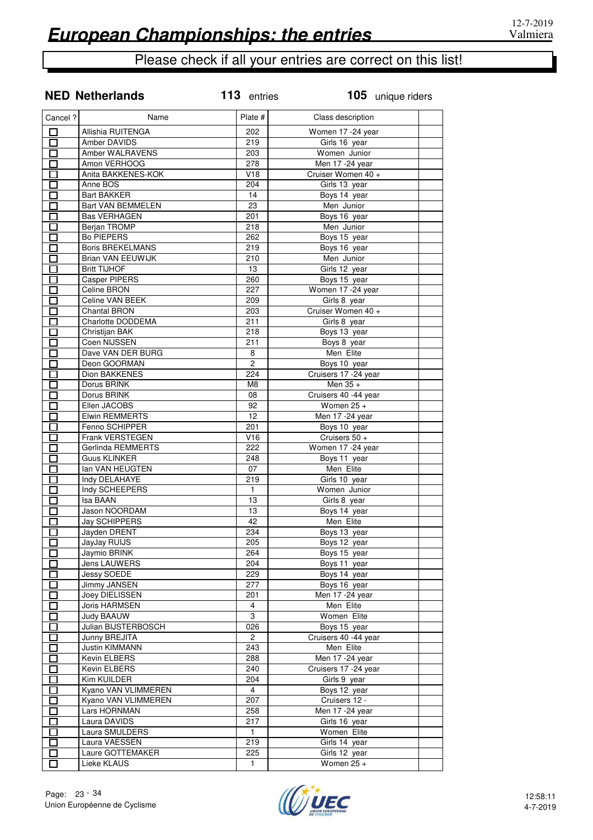**NED Netherlands 113** entries

# Please check if all your entries are correct on this list!

| Cancel ?                    | Name                     | Plate #        | Class description     |  |
|-----------------------------|--------------------------|----------------|-----------------------|--|
| $\Box$                      | Allishia RUITENGA        | 202            | Women 17 -24 year     |  |
| П                           | Amber DAVIDS             | 219            | Girls 16 year         |  |
|                             | Amber WALRAVENS          | 203            | Women Junior          |  |
|                             | Amon VERHOOG             | 278            | Men 17 -24 year       |  |
|                             | Anita BAKKENES-KOK       | V18            | Cruiser Women 40 +    |  |
|                             | Anne BOS                 | 204            | Girls 13 year         |  |
|                             | <b>Bart BAKKER</b>       | 14             | Boys 14 year          |  |
|                             | <b>Bart VAN BEMMELEN</b> | 23             | Men Junior            |  |
| П                           | <b>Bas VERHAGEN</b>      | 201            | Boys 16 year          |  |
| <b>T</b>                    | Berjan TROMP             | 218            | Men Junior            |  |
|                             | <b>Bo PIEPERS</b>        | 262            | Boys 15 year          |  |
| $\mathbf{I}$                | <b>Boris BREKELMANS</b>  | 219            | Boys 16 year          |  |
|                             | Brian VAN EEUWIJK        | 210            | Men Junior            |  |
|                             | <b>Britt TIJHOF</b>      | 13             | Girls 12 year         |  |
|                             | Casper PIPERS            | 260            | Boys 15 year          |  |
|                             | Celine BRON              | 227            | Women 17 - 24 year    |  |
|                             | Celine VAN BEEK          | 209            | Girls 8 year          |  |
|                             | Chantal BRON             | 203            | Cruiser Women 40 +    |  |
|                             | Charlotte DODDEMA        | 211            | Girls 8 year          |  |
|                             | Christijan BAK           | 218            | Boys 13 year          |  |
|                             | Coen NIJSSEN             | 211            | Boys 8 year           |  |
|                             | Dave VAN DER BURG        | 8              | Men Elite             |  |
|                             | Deon GOORMAN             | 2              |                       |  |
|                             |                          |                | Boys 10 year          |  |
|                             | Dion BAKKENES            | 224            | Cruisers 17 - 24 year |  |
|                             | Dorus BRINK              | M8             | Men 35 +              |  |
|                             | Dorus BRINK              | 08             | Cruisers 40 -44 year  |  |
|                             | Ellen JACOBS             | 92             | Women $25 +$          |  |
|                             | Elwin REMMERTS           | 12             | Men 17 -24 year       |  |
|                             | Fenno SCHIPPER           | 201            | Boys 10 year          |  |
|                             | Frank VERSTEGEN          | V16            | Cruisers 50 +         |  |
| П                           | Gerlinda REMMERTS        | 222            | Women 17 -24 year     |  |
| <u>Litro de la propia</u>   | <b>Guus KLINKER</b>      | 248            | Boys 11 year          |  |
|                             | lan VAN HEUGTEN          | 07             | Men Elite             |  |
|                             | Indy DELAHAYE            | 219            | Girls 10 year         |  |
|                             | Indy SCHEEPERS           | $\mathbf{1}$   | Women Junior          |  |
|                             | Isa BAAN                 | 13             | Girls 8 year          |  |
|                             | Jason NOORDAM            | 13             | Boys 14 year          |  |
|                             | <b>Jay SCHIPPERS</b>     | 42             | Men Elite             |  |
|                             | Jayden DRENT             | 234            | Boys 13 year          |  |
|                             | JayJay RUIJS             | 205            | Boys 12 year          |  |
| Ī.                          | Jaymio BRINK             | 264            | Boys 15 year          |  |
| $\mathcal{L}_{\mathcal{A}}$ | Jens LAUWERS             | 204            | Boys 11 year          |  |
|                             | Jessy SOEDE              | 229            | Boys 14 year          |  |
| П                           | Jimmy JANSEN             | 277            | Boys 16 year          |  |
|                             | Joey DIELISSEN           | 201            | Men 17 - 24 year      |  |
| $\Box$                      | Joris HARMSEN            | $\overline{4}$ | Men Elite             |  |
|                             | <b>Judy BAAUW</b>        | 3              | Women Elite           |  |
| П                           | Julian BIJSTERBOSCH      | 026            | Boys 15 year          |  |
| I.                          | Junny BREJITA            | $\overline{2}$ | Cruisers 40 -44 year  |  |
| $\mathcal{L}$               | Justin KIMMANN           | 243            | Men Elite             |  |
|                             | Kevin ELBERS             | 288            | Men 17 - 24 year      |  |
| $\Box$                      | Kevin ELBERS             | 240            | Cruisers 17 -24 year  |  |
|                             | Kim KUILDER              | 204            | Girls 9 year          |  |
| $\mathcal{L}_{\mathcal{A}}$ | Kyano VAN VLIMMEREN      | 4              | Boys 12 year          |  |
|                             | Kyano VAN VLIMMEREN      | 207            | Cruisers 12 -         |  |
| Ī.                          | Lars HORNMAN             | 258            | Men 17 - 24 year      |  |
|                             | Laura DAVIDS             | 217            | Girls 16 year         |  |
| $\mathbf{I}$                | Laura SMULDERS           | $\mathbf{1}$   | Women Elite           |  |
|                             | Laura VAESSEN            | 219            | Girls 14 year         |  |
| П                           | Laure GOTTEMAKER         | 225            | Girls 12 year         |  |
| $\Box$                      | Lieke KLAUS              | $\mathbf{1}$   | Women $25 +$          |  |
|                             |                          |                |                       |  |

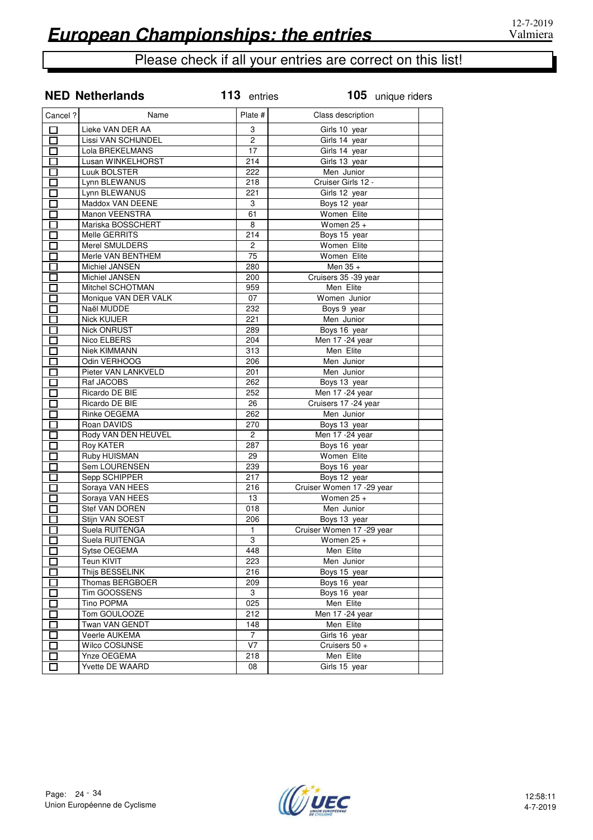|                                                      | <b>NED Netherlands</b>         | 113 entries     | 105 unique riders                         |
|------------------------------------------------------|--------------------------------|-----------------|-------------------------------------------|
| Cancel ?                                             | Name                           | Plate #         | Class description                         |
| □                                                    | Lieke VAN DER AA               | 3               | Girls 10 year                             |
| □                                                    | Lissi VAN SCHIJNDEL            | $\overline{2}$  | Girls 14 year                             |
| П                                                    | Lola BREKELMANS                | 17              | Girls 14 year                             |
| $\Box$                                               | Lusan WINKELHORST              | 214             | Girls 13 year                             |
| $\Box$                                               | Luuk BOLSTER                   | 222             | Men Junior                                |
| $\Box$                                               | Lynn BLEWANUS                  | 218             | Cruiser Girls 12 -                        |
| П                                                    | Lynn BLEWANUS                  | 221             | Girls 12 year                             |
| □                                                    | Maddox VAN DEENE               | 3               | Boys 12 year                              |
| П                                                    | Manon VEENSTRA                 | 61              | Women Elite                               |
| П                                                    | Mariska BOSSCHERT              | 8               | Women $25 +$                              |
| П                                                    | Melle GERRITS                  | 214             | Boys 15 year                              |
| П                                                    | Merel SMULDERS                 | $\overline{2}$  | Women Elite                               |
| n an an Aonaichte ag an Sualaid an 1971.<br>Tagairtí | Merle VAN BENTHEM              | $\overline{75}$ | Women Elite                               |
| E.                                                   | Michiel JANSEN                 | 280             | Men $35 +$                                |
| Π                                                    | Michiel JANSEN                 | 200             | Cruisers 35 -39 year                      |
| Π                                                    | Mitchel SCHOTMAN               | 959             | Men Elite                                 |
| $\Box$                                               | Monique VAN DER VALK           | 07              | Women Junior                              |
| П                                                    | Naël MUDDE                     | 232             | Boys 9 year                               |
| П                                                    | <b>Nick KUIJER</b>             | 221             | Men Junior                                |
| П                                                    | <b>Nick ONRUST</b>             | 289             | Boys 16 year                              |
| $\Box$                                               | Nico ELBERS                    | 204             | Men 17 - 24 year                          |
| П                                                    | <b>Niek KIMMANN</b>            | 313             | Men Elite                                 |
| $\Box$                                               | Odin VERHOOG                   | 206             | Men Junior                                |
| П                                                    | Pieter VAN LANKVELD            | 201             | Men Junior                                |
| $\Box$                                               | Raf JACOBS                     | 262             | Boys 13 year                              |
| П                                                    | Ricardo DE BIE                 | 252             | Men 17 - 24 year                          |
| П                                                    | Ricardo DE BIE                 | 26              | Cruisers 17 - 24 year                     |
| П                                                    | Rinke OEGEMA                   | 262             | Men Junior                                |
| $\Box$                                               | Roan DAVIDS                    | 270             | Boys 13 year                              |
| П                                                    | Rody VAN DEN HEUVEL            | $\overline{2}$  | Men 17 - 24 year                          |
| П                                                    | Roy KATER                      | 287             | Boys 16 year                              |
| П                                                    | <b>Ruby HUISMAN</b>            | 29              | Women Elite                               |
|                                                      |                                | 239             |                                           |
| $\Box$                                               | Sem LOURENSEN<br>Sepp SCHIPPER | 217             | Boys 16 year                              |
| $\Box$                                               |                                | 216             | Boys 12 year<br>Cruiser Women 17 -29 year |
| П<br>П                                               | Soraya VAN HEES                |                 |                                           |
|                                                      | Soraya VAN HEES                | 13              | Women $25 +$<br>Men Junior                |
| П                                                    | Stef VAN DOREN                 | 018             |                                           |
| $\Box$                                               | Stijn VAN SOEST                | 206             | Boys 13 year                              |
| П                                                    | Suela RUITENGA                 | $\mathbf{1}$    | Cruiser Women 17 - 29 year                |
| $\sim$                                               | Suela RUITENGA                 | 3               | Women $25 +$                              |
| $\sim$                                               | Sytse OEGEMA                   | 448             | Men Elite                                 |
|                                                      | Teun KIVIT                     | 223             | Men Junior                                |
|                                                      | Thijs BESSELINK                | 216             | Boys 15 year                              |
|                                                      | Thomas BERGBOER                | 209             | Boys 16 year                              |
| $\overline{\phantom{a}}$                             | Tim GOOSSENS                   | 3               | Boys 16 year                              |
| П                                                    | <b>Tino POPMA</b>              | 025             | Men Elite                                 |
| П                                                    | Tom GOULOOZE                   | 212             | Men 17 - 24 year                          |
| П                                                    | Twan VAN GENDT                 | 148             | Men Elite                                 |
| $\Box$                                               | Veerle AUKEMA                  | 7               | Girls 16 year                             |
| I I                                                  | Wilco COSIJNSE                 | V7              | Cruisers 50 +                             |
| П                                                    | Ynze OEGEMA                    | 218             | Men Elite                                 |
|                                                      | Yvette DE WAARD                | 08              | Girls 15 year                             |

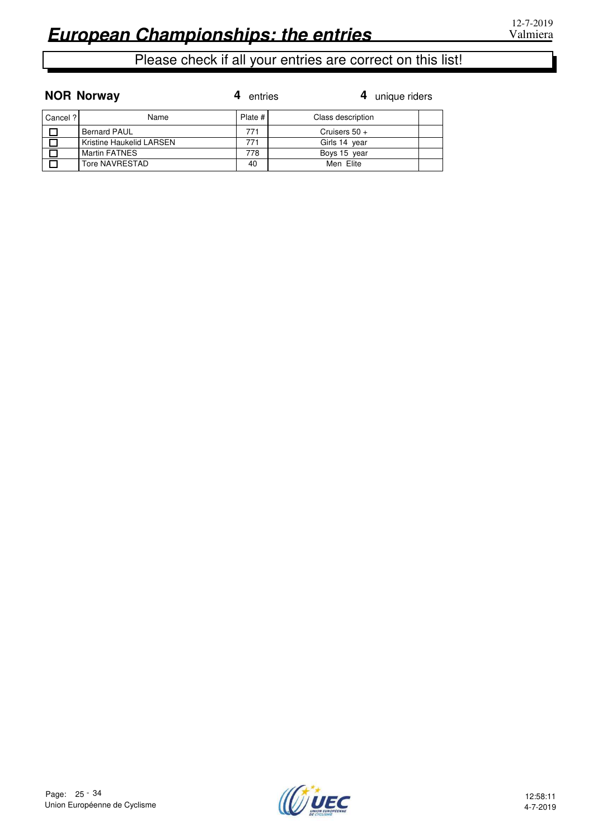**NOR Norway**

|          | <b>NOR Norway</b>        | entries | 4 unique riders   |  |
|----------|--------------------------|---------|-------------------|--|
| Cancel ? | Name                     | Plate # | Class description |  |
| $\Box$   | <b>Bernard PAUL</b>      | 771     | Cruisers $50 +$   |  |
| l Ol     | Kristine Haukelid LARSEN | 771     | Girls 14 year     |  |
| $\Box$   | <b>Martin FATNES</b>     | 778     | Boys 15 year      |  |
| $\Box$   | Tore NAVRESTAD           | 40      | Men Elite         |  |

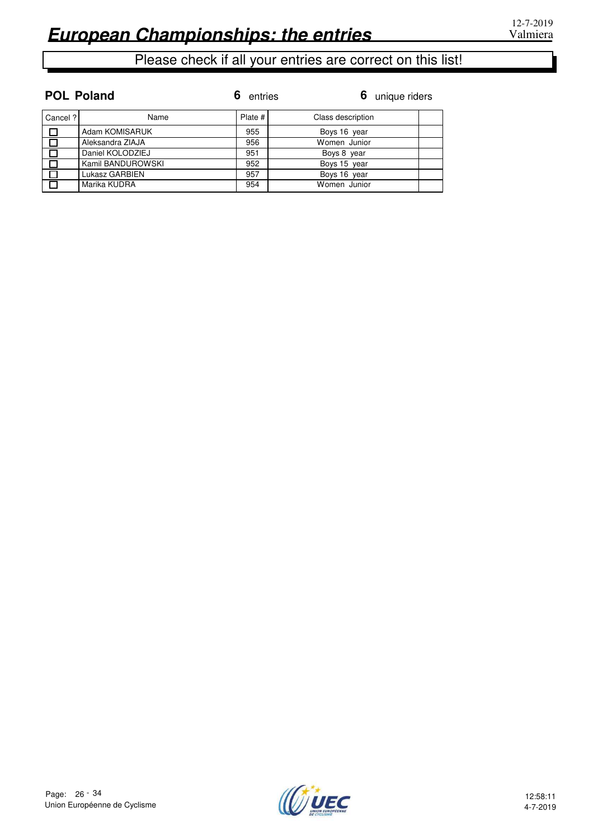**POL Poland**

## Please check if all your entries are correct on this list!

| Cancel ? | Name              | Plate # | Class description |  |
|----------|-------------------|---------|-------------------|--|
| $\Box$   | Adam KOMISARUK    | 955     | Boys 16 year      |  |
| $\Box$   | Aleksandra ZIAJA  | 956     | Women Junior      |  |
| $\Box$   | Daniel KOLODZIEJ  | 951     | Boys 8 year       |  |
| $\Box$   | Kamil BANDUROWSKI | 952     | Boys 15 year      |  |
| $\Box$   | Lukasz GARBIEN    | 957     | Boys 16 year      |  |
| , $\Box$ | Marika KUDRA      | 954     | Women Junior      |  |

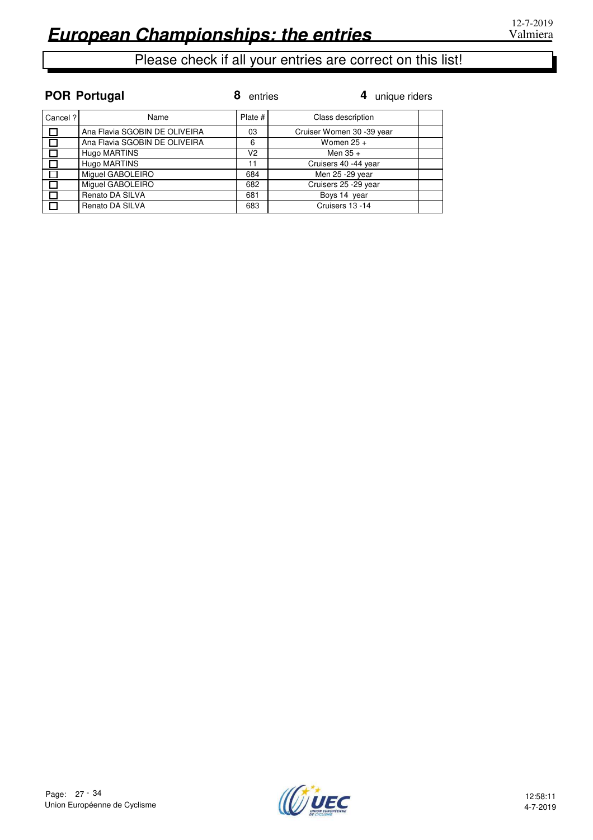|          | <b>POR Portugal</b>           | entries | 4 unique riders           |
|----------|-------------------------------|---------|---------------------------|
| Cancel ? | Name                          | Plate # | Class description         |
| $\Box$   | Ana Flavia SGOBIN DE OLIVEIRA | 03      | Cruiser Women 30 -39 year |
| $\Box$   | Ana Flavia SGOBIN DE OLIVEIRA | 6       | Women $25 +$              |
|          | Hugo MARTINS                  | V2      | Men $35 +$                |
|          | Hugo MARTINS                  | 11      | Cruisers 40 -44 year      |
| П        | Miguel GABOLEIRO              | 684     | Men 25 - 29 year          |
| $\Box$   | Miguel GABOLEIRO              | 682     | Cruisers 25 -29 year      |
| $\Box$   | Renato DA SILVA               | 681     | Boys 14 year              |
| $\Box$   | Renato DA SILVA               | 683     | Cruisers 13 -14           |

#### **POR Portugal**

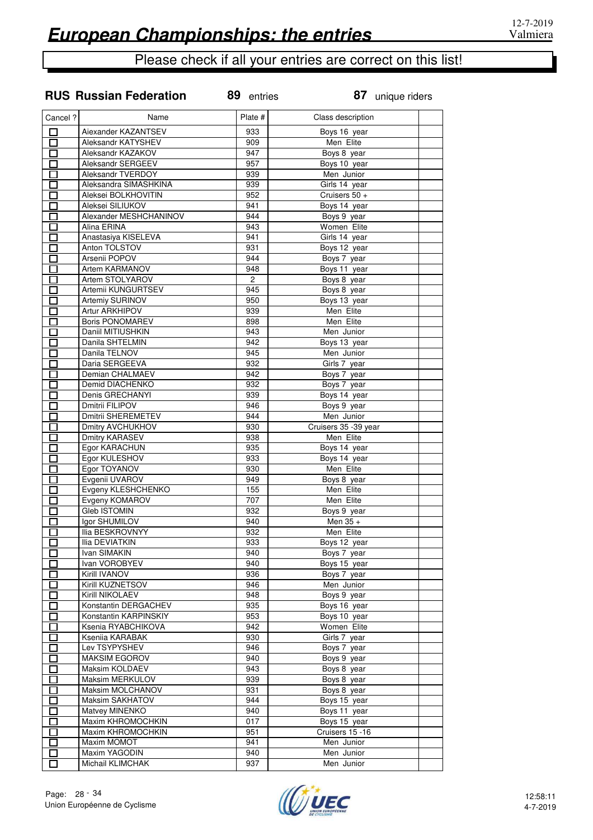#### **RUS Russian Federation**

| Cancel ?                 | Name                                 | Plate #          | Class description        |  |
|--------------------------|--------------------------------------|------------------|--------------------------|--|
| $\Box$                   | Aiexander KAZANTSEV                  | 933              | Boys 16 year             |  |
| 口                        | Aleksandr KATYSHEV                   | 909              | Men Elite                |  |
| $\Box$                   | Aleksandr KAZAKOV                    | 947              | Boys 8 year              |  |
| $\Box$                   | Aleksandr SERGEEV                    | 957              | Boys 10 year             |  |
| П                        | Aleksandr TVERDOY                    | 939              | Men Junior               |  |
| П                        | Aleksandra SIMASHKINA                | 939              | Girls 14 year            |  |
| $\Box$                   | Aleksei BOLKHOVITIN                  | 952              | Cruisers 50 +            |  |
| 匸                        | Aleksei SILIUKOV                     | 941              | Boys 14 year             |  |
| $\Box$                   | Alexander MESHCHANINOV               | 944              | Boys 9 year              |  |
| 口                        | Alina ERINA                          | $\overline{943}$ | Women Elite              |  |
| $\Box$                   | Anastasiya KISELEVA                  | 941              | Girls 14 year            |  |
| П                        | Anton TOLSTOV                        | 931              | Boys 12 year             |  |
| П                        | Arsenii POPOV                        | 944              | Boys 7 year              |  |
| П                        | Artem KARMANOV                       | 948              | Boys 11 year             |  |
| П                        | Artem STOLYAROV                      | $\overline{2}$   | Boys 8 year              |  |
| П                        | Artemii KUNGURTSEV                   | 945              | Boys 8 year              |  |
| Г                        | Artemiy SURINOV                      | 950              | Boys 13 year             |  |
| П                        | <b>Artur ARKHIPOV</b>                | 939              | Men Elite                |  |
| $\blacksquare$           | <b>Boris PONOMAREV</b>               | 898              | Men Elite                |  |
| Г                        | Daniil MITIUSHKIN                    | 943              | Men Junior               |  |
| П                        | Danila SHTELMIN                      | 942              | Boys 13 year             |  |
| П                        | Danila TELNOV                        | 945              | Men Junior               |  |
| $\Box$                   | Daria SERGEEVA                       | 932              | Girls 7 year             |  |
| Г                        | Demian CHALMAEV                      | 942              | Boys 7 year              |  |
| П                        | Demid DIACHENKO                      | 932              | Boys 7 year              |  |
| П                        | Denis GRECHANYI                      | 939              | Boys 14 year             |  |
| $\Box$                   | Dmitrii FILIPOV                      | 946              | Boys 9 year              |  |
| 囗                        | Dmitrii SHEREMETEV                   | 944              | Men Junior               |  |
| $\Box$                   | Dmitry AVCHUKHOV                     | 930              | Cruisers 35 -39 year     |  |
| П                        | Dmitry KARASEV                       | 938              | Men Elite                |  |
| 囗                        | Egor KARACHUN                        | 935              | Boys 14 year             |  |
| $\Box$                   | Egor KULESHOV                        | 933              | Boys 14 year             |  |
| $\Box$                   | Egor TOYANOV                         | 930<br>949       | Men Elite                |  |
| $\Box$<br>ロ              | Evgenii UVAROV<br>Evgeny KLESHCHENKO | 155              | Boys 8 year<br>Men Elite |  |
| $\Box$                   | Evgeny KOMAROV                       | 707              | Men Elite                |  |
| П                        | <b>Gleb ISTOMIN</b>                  | 932              | Boys 9 year              |  |
| П                        | Igor SHUMILOV                        | 940              | Men 35 +                 |  |
| Г                        | Ilia BESKROVNYY                      | 932              | Men Elite                |  |
| Г                        | <b>Ilia DEVIATKIN</b>                | 933              | Boys 12 year             |  |
| П                        | Ivan SIMAKIN                         | 940              | Boys 7 year              |  |
| $\overline{\phantom{a}}$ | Ivan VOROBYEV                        | 940              | Boys 15 year             |  |
| П                        | Kirill IVANOV                        | 936              | Boys 7 year              |  |
| $\Box$                   | Kirill KUZNETSOV                     | 946              | Men Junior               |  |
| Г                        | Kirill NIKOLAEV                      | 948              | Boys 9 year              |  |
| 囗                        | Konstantin DERGACHEV                 | 935              | Boys 16 year             |  |
| $\Box$                   | Konstantin KARPINSKIY                | 953              | Boys 10 year             |  |
| $\Box$                   | Ksenia RYABCHIKOVA                   | 942              | Women Elite              |  |
| Г                        | Ksenija KARABAK                      | 930              | Girls 7 year             |  |
| $\Box$                   | Lev TSYPYSHEV                        | 946              | Boys 7 year              |  |
| П                        | <b>MAKSIM EGOROV</b>                 | 940              | Boys 9 year              |  |
| П                        | Maksim KOLDAEV                       | 943              | Boys 8 year              |  |
| $\Box$                   | Maksim MERKULOV                      | 939              | Boys 8 year              |  |
| $\Box$                   | Maksim MOLCHANOV                     | 931              | Boys 8 year              |  |
| $\Box$                   | <b>Maksim SAKHATOV</b>               | 944              | Boys 15 year             |  |
| $\Box$                   | Matvey MINENKO                       | 940              | Boys 11 year             |  |
| $\Box$                   | Maxim KHROMOCHKIN                    | 017              | Boys 15 year             |  |
| $\Box$                   | Maxim KHROMOCHKIN                    | 951              | Cruisers 15 -16          |  |
| 囗                        | Maxim MOMOT                          | 941              | Men Junior               |  |
| $\Box$                   | Maxim YAGODIN                        | 940              | Men Junior               |  |
| $\Box$                   | Michail KLIMCHAK                     | 937              | Men Junior               |  |

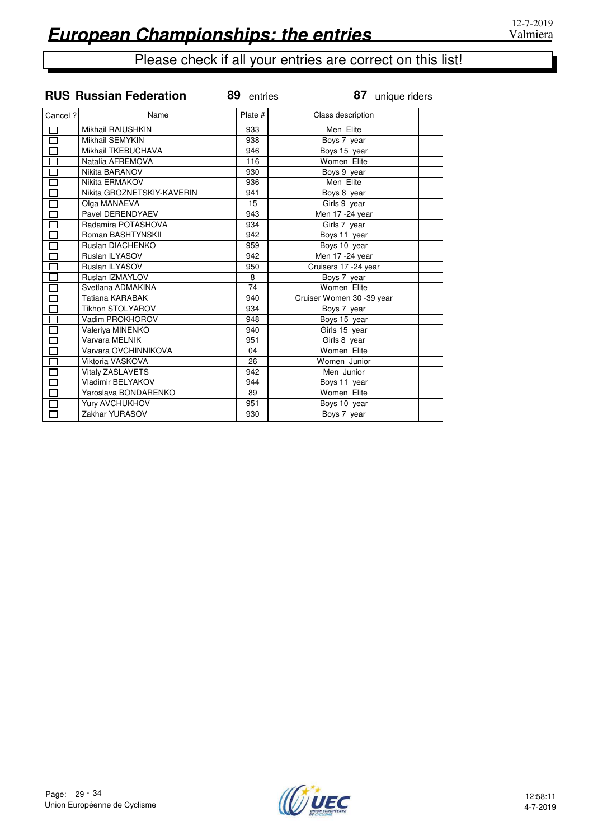|                                 | <b>RUS Russian Federation</b> | 89 entries | 87 unique riders                     |
|---------------------------------|-------------------------------|------------|--------------------------------------|
| Cancel ?                        | Name                          | Plate #    | Class description                    |
| 口                               | <b>Mikhail RAIUSHKIN</b>      | 933        | Men Elite                            |
| $\overline{\overline{\Box}}$    | Mikhail SEMYKIN               | 938        | Boys 7 year                          |
| Ō                               | Mikhail TKEBUCHAVA            | 946        | Boys 15 year                         |
|                                 | Natalia AFREMOVA              | 116        | Women Elite                          |
| 靣                               | Nikita BARANOV                | 930        | Boys 9 year                          |
|                                 | Nikita ERMAKOV                | 936        | Men Elite                            |
| $\overline{\Xi}$                | Nikita GROZNETSKIY-KAVERIN    | 941        | Boys 8 year                          |
| $\overline{\overline{\Box}}$    | Olga MANAEVA                  | 15         | Girls 9 year                         |
| $\overline{\Box}$               | Pavel DERENDYAEV              | 943        | $\overline{\text{Men 1}}$ 7 -24 year |
| $\Box$                          | Radamira POTASHOVA            | 934        | Girls 7 year                         |
| $\overline{\Box}$               | Roman BASHTYNSKII             | 942        | Boys 11 year                         |
|                                 | Ruslan DIACHENKO              | 959        | Boys 10 year                         |
| Ē                               | Ruslan ILYASOV                | 942        | Men 17 - 24 year                     |
|                                 | Ruslan ILYASOV                | 950        | Cruisers 17 -24 year                 |
| П                               | Ruslan IZMAYLOV               | 8          | Boys 7 year                          |
| ក៊                              | Svetlana ADMAKINA             | 74         | Women Elite                          |
| $\Box$                          | Tatiana KARABAK               | 940        | Cruiser Women 30 -39 year            |
| $\overline{\overline{\square}}$ | <b>Tikhon STOLYAROV</b>       | 934        | Boys 7 year                          |
| $\overline{\square}$            | Vadim PROKHOROV               | 948        | Boys 15 year                         |
| $\overline{\overline{\Box}}$    | Valeriya MINENKO              | 940        | Girls 15 year                        |
| $\overline{\Box}$               | Varvara MELNIK                | 951        | Girls 8 year                         |
| $\overline{\square}$            | Varvara OVCHINNIKOVA          | 04         | Women Elite                          |
| $\Xi$                           | Viktoria VASKOVA              | 26         | Women Junior                         |
|                                 | Vitaly ZASLAVETS              | 942        | Men Junior                           |
| 亩                               | Vladimir BELYAKOV             | 944        | Boys 11 year                         |
|                                 | Yaroslava BONDARENKO          | 89         | Women Elite                          |
| П                               | Yury AVCHUKHOV                | 951        | Boys 10 year                         |
| П                               | Zakhar YURASOV                | 930        | Boys 7 year                          |



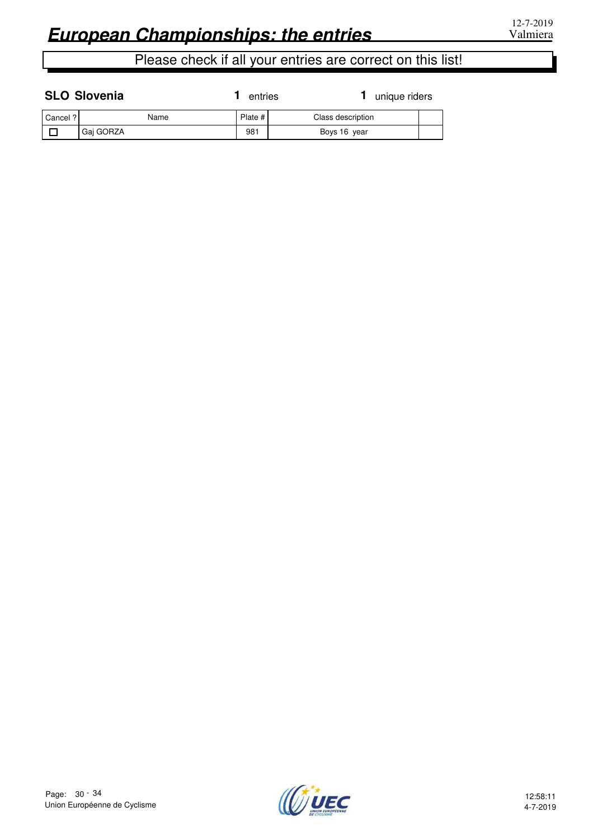| <b>SLO Slovenia</b> | 1 entries | $1$ uniq |
|---------------------|-----------|----------|
|                     |           |          |

**1** entries **1** unique riders

| Cancel? | Name      | Plate # | Class description |  |
|---------|-----------|---------|-------------------|--|
|         | Gai GORZA | 981     | Boys 16 year      |  |

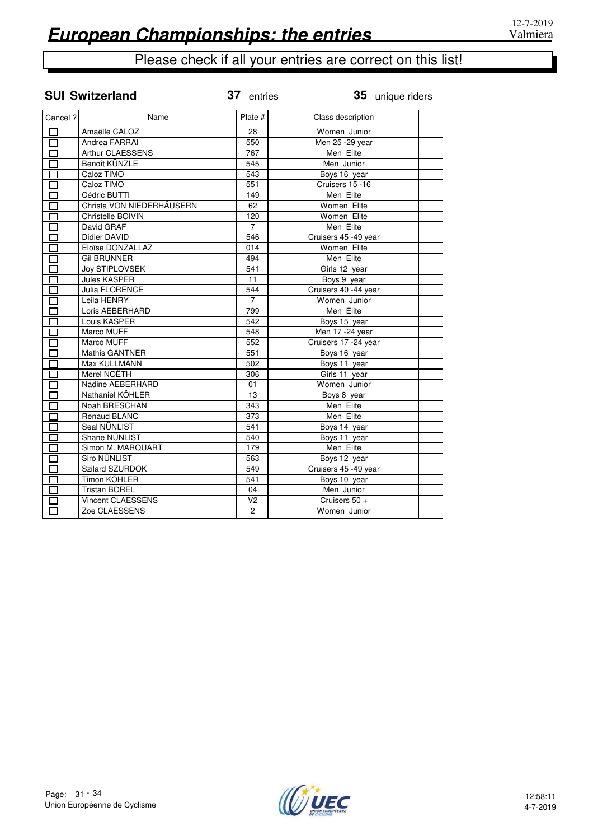**35** unique riders

| Cancel? | Name                      | Plate #          | Class description    |  |
|---------|---------------------------|------------------|----------------------|--|
|         | Amaëlle CALOZ             | 28               | Women Junior         |  |
|         | Andrea FARRAI             | 550              | Men 25 - 29 year     |  |
|         | Arthur CLAESSENS          | 767              | Men Elite            |  |
|         | Benoît KÜNZLE             | 545              | Men Junior           |  |
|         | Caloz TIMO                | 543              | Boys 16 year         |  |
|         | Caloz TIMO                | 551              | Cruisers 15 -16      |  |
|         | Cédric BUTTI              | 149              | Men Elite            |  |
|         | Christa VON NIEDERHÄUSERN | 62               | Women Elite          |  |
|         | Christelle BOIVIN         | 120              | Women Elite          |  |
|         | David GRAF                | $\overline{7}$   | Men Elite            |  |
|         | Didier DAVID              | 546              | Cruisers 45 -49 year |  |
|         | Eloïse DONZALLAZ          | $\overline{014}$ | Women Elite          |  |
|         | <b>Gil BRUNNER</b>        | 494              | Men Elite            |  |
|         | <b>Joy STIPLOVSEK</b>     | 541              | Girls 12 year        |  |
|         | <b>Jules KASPER</b>       | 11               | Boys 9 year          |  |
|         | Julia FLORENCE            | 544              | Cruisers 40 -44 year |  |
|         | Leila HENRY               | 7                | Women Junior         |  |
|         | Loris AEBERHARD           | 799              | Men Elite            |  |
|         | Louis KASPER              | 542              | Boys 15 year         |  |
|         | Marco MUFF                | 548              | Men 17 - 24 year     |  |
|         | Marco MUFF                | 552              | Cruisers 17 -24 year |  |
|         | <b>Mathis GANTNER</b>     | 551              | Boys 16 year         |  |
|         | Max KULLMANN              | 502              | Boys 11 year         |  |
|         | Merel NOËTH               | 306              | Girls 11 year        |  |
|         | Nadine AEBERHARD          | 01               | Women Junior         |  |
|         | Nathaniel KÖHLER          | 13               | Boys 8 year          |  |
|         | Noah BRESCHAN             | 343              | Men Elite            |  |
|         | Renaud BLANC              | 373              | Men Elite            |  |
|         | Seal NÜNLIST              | 541              | Boys 14 year         |  |
|         | Shane NÜNLIST             | 540              | Boys 11 year         |  |
|         | Simon M. MARQUART         | 179              | Men Elite            |  |
|         | Siro NÜNLIST              | 563              | Boys 12 year         |  |
|         | <b>Szilard SZURDOK</b>    | 549              | Cruisers 45 -49 year |  |
|         | Timon KÖHLER              | 541              | Boys 10 year         |  |
|         | <b>Tristan BOREL</b>      | 04               | Men Junior           |  |
|         | Vincent CLAESSENS         | V <sub>2</sub>   | Cruisers 50 +        |  |
|         | Zoe CLAESSENS             | $\overline{2}$   | Women Junior         |  |

## **SUI Switzerland** 37 entries

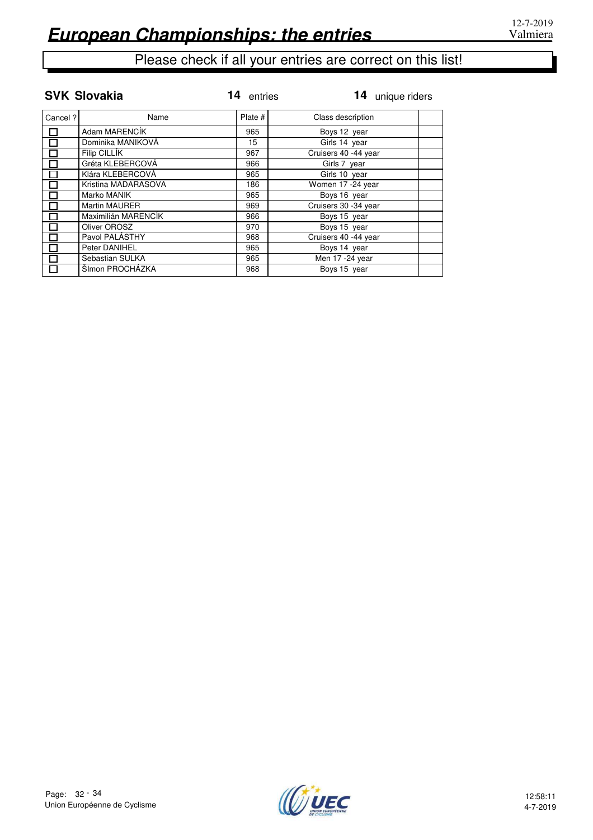|         | <b>SVK Slovakia</b> | 14<br>entries | 14 unique riders     |
|---------|---------------------|---------------|----------------------|
| Cancel? | Name                | Plate #       | Class description    |
|         | Adam MARENCÍK       | 965           | Boys 12 year         |
|         | Dominika MANIKOVÁ   | 15            | Girls 14 year        |
|         | Filip CILLIK        | 967           | Cruisers 40 -44 year |
|         | Gréta KLEBERCOVÁ    | 966           | Girls 7 year         |
|         | Klára KLEBERCOVÁ    | 965           | Girls 10 year        |
|         | Kristina MADARASOVA | 186           | Women 17 -24 year    |
|         | Marko MANIK         | 965           | Boys 16 year         |
|         | Martin MAURER       | 969           | Cruisers 30 -34 year |
|         | Maximilián MARENCÍK | 966           | Boys 15 year         |
|         | Oliver OROSZ        | 970           | Boys 15 year         |
|         | Pavol PALÁSTHY      | 968           | Cruisers 40 -44 year |
|         | Peter DANIHEL       | 965           | Boys 14 year         |
|         | Sebastian SULKA     | 965           | Men 17 -24 year      |
|         | ŠImon PROCHÁZKA     | 968           | Boys 15 year         |

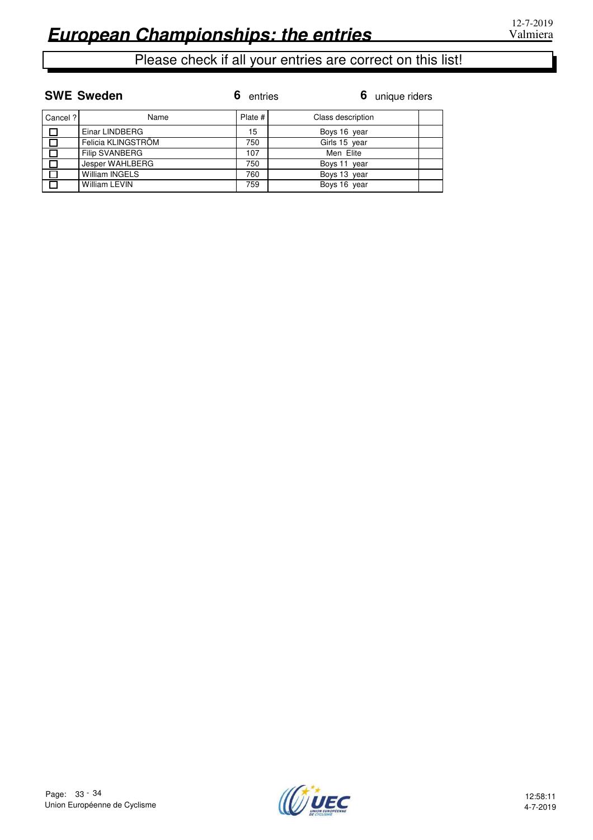|          | <b>SWE Sweden</b>     | 6<br>entries | 6 unique riders   |  |
|----------|-----------------------|--------------|-------------------|--|
| Cancel ? | Name                  | Plate #      | Class description |  |
|          | Einar LINDBERG        | 15           | Boys 16 year      |  |
|          | Felicia KLINGSTRÖM    | 750          | Girls 15 year     |  |
|          | <b>Filip SVANBERG</b> | 107          | Men Elite         |  |
|          | Jesper WAHLBERG       | 750          | Boys 11 year      |  |
|          | <b>William INGELS</b> | 760          | Boys 13 year      |  |
|          | <b>William LEVIN</b>  | 759          | Boys 16 year      |  |